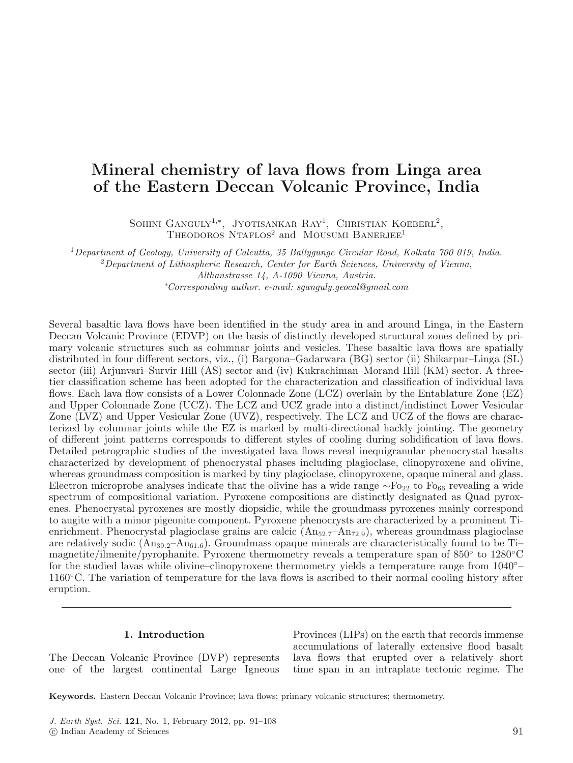# **Mineral chemistry of lava flows from Linga area of the Eastern Deccan Volcanic Province, India**

SOHINI GANGULY<sup>1,\*</sup>, JYOTISANKAR RAY<sup>1</sup>, CHRISTIAN KOEBERL<sup>2</sup>, THEODOROS NTAFLOS<sup>2</sup> and MOUSUMI BANERJEE<sup>1</sup>

<sup>1</sup>Department of Geology, University of Calcutta, 35 Ballygunge Circular Road, Kolkata 700 019, India. <sup>2</sup>Department of Lithospheric Research, Center for Earth Sciences, University of Vienna, Althanstrasse 14, A-1090 Vienna, Austria.

∗ Corresponding author. e-mail: sganguly.geocal@gmail.com

Several basaltic lava flows have been identified in the study area in and around Linga, in the Eastern Deccan Volcanic Province (EDVP) on the basis of distinctly developed structural zones defined by primary volcanic structures such as columnar joints and vesicles. These basaltic lava flows are spatially distributed in four different sectors, viz., (i) Bargona–Gadarwara (BG) sector (ii) Shikarpur–Linga (SL) sector (iii) Arjunvari–Survir Hill (AS) sector and (iv) Kukrachiman–Morand Hill (KM) sector. A threetier classification scheme has been adopted for the characterization and classification of individual lava flows. Each lava flow consists of a Lower Colonnade Zone (LCZ) overlain by the Entablature Zone (EZ) and Upper Colonnade Zone (UCZ). The LCZ and UCZ grade into a distinct/indistinct Lower Vesicular Zone (LVZ) and Upper Vesicular Zone (UVZ), respectively. The LCZ and UCZ of the flows are characterized by columnar joints while the EZ is marked by multi-directional hackly jointing. The geometry of different joint patterns corresponds to different styles of cooling during solidification of lava flows. Detailed petrographic studies of the investigated lava flows reveal inequigranular phenocrystal basalts characterized by development of phenocrystal phases including plagioclase, clinopyroxene and olivine, whereas groundmass composition is marked by tiny plagioclase, clinopyroxene, opaque mineral and glass. Electron microprobe analyses indicate that the olivine has a wide range  $\sim$ Fo<sub>22</sub> to Fo<sub>66</sub> revealing a wide spectrum of compositional variation. Pyroxene compositions are distinctly designated as Quad pyroxenes. Phenocrystal pyroxenes are mostly diopsidic, while the groundmass pyroxenes mainly correspond to augite with a minor pigeonite component. Pyroxene phenocrysts are characterized by a prominent Tienrichment. Phenocrystal plagioclase grains are calcic  $(An_{52.7}-An_{72.9})$ , whereas groundmass plagioclase are relatively sodic (An<sub>39.2</sub>–An<sub>61.6</sub>). Groundmass opaque minerals are characteristically found to be Ti– magnetite/ilmenite/pyrophanite. Pyroxene thermometry reveals a temperature span of 850◦ to 1280◦C for the studied lavas while olivine–clinopyroxene thermometry yields a temperature range from  $1040°$ 1160◦C. The variation of temperature for the lava flows is ascribed to their normal cooling history after eruption.

# **1. Introduction**

The Deccan Volcanic Province (DVP) represents one of the largest continental Large Igneous

Provinces (LIPs) on the earth that records immense accumulations of laterally extensive flood basalt lava flows that erupted over a relatively short time span in an intraplate tectonic regime. The

**Keywords.** Eastern Deccan Volcanic Province; lava flows; primary volcanic structures; thermometry.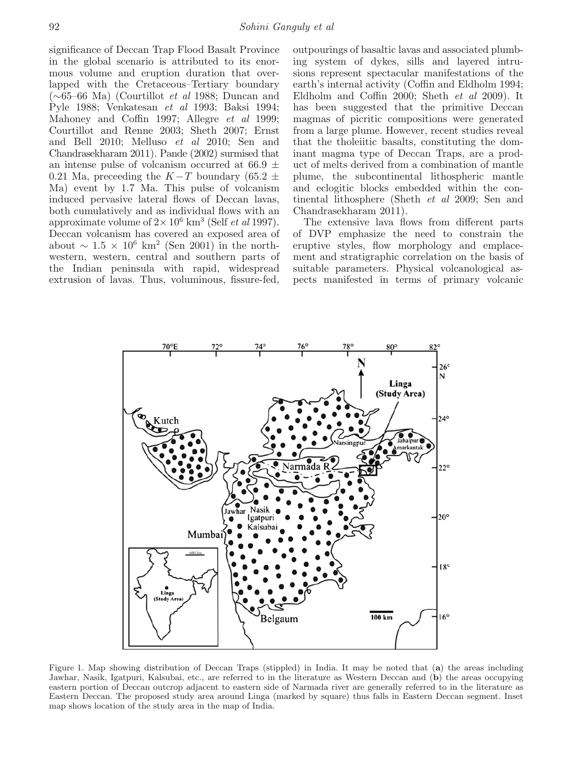significance of Deccan Trap Flood Basalt Province in the global scenario is attributed to its enormous volume and eruption duration that overlapped with the Cretaceous–Tertiary boundary (∼65–66 Ma) (Courtillot et al 1988; Duncan and Pyle 1988; Venkatesan et al 1993; Baksi 1994; Mahoney and Coffin 1997; Allegre et al 1999; Courtillot and Renne 2003; Sheth 2007; Ernst and Bell 2010; Melluso et al 2010; Sen and Chandrasekharam 2011). Pande (2002) surmised that an intense pulse of volcanism occurred at 66.9  $\pm$ 0.21 Ma, preceeding the  $K-T$  boundary (65.2  $\pm$ Ma) event by 1.7 Ma. This pulse of volcanism induced pervasive lateral flows of Deccan lavas, both cumulatively and as individual flows with an approximate volume of  $2 \times 10^6$  km<sup>3</sup> (Self *et al* 1997). Deccan volcanism has covered an exposed area of about  $\sim 1.5 \times 10^6$  km<sup>2</sup> (Sen 2001) in the northwestern, western, central and southern parts of the Indian peninsula with rapid, widespread extrusion of lavas. Thus, voluminous, fissure-fed,

outpourings of basaltic lavas and associated plumbing system of dykes, sills and layered intrusions represent spectacular manifestations of the earth's internal activity (Coffin and Eldholm 1994; Eldholm and Coffin 2000; Sheth et al 2009). It has been suggested that the primitive Deccan magmas of picritic compositions were generated from a large plume. However, recent studies reveal that the tholeiitic basalts, constituting the dominant magma type of Deccan Traps, are a product of melts derived from a combination of mantle plume, the subcontinental lithospheric mantle and eclogitic blocks embedded within the continental lithosphere (Sheth et al 2009; Sen and Chandrasekharam 2011).

The extensive lava flows from different parts of DVP emphasize the need to constrain the eruptive styles, flow morphology and emplacement and stratigraphic correlation on the basis of suitable parameters. Physical volcanological aspects manifested in terms of primary volcanic



Figure 1. Map showing distribution of Deccan Traps (stippled) in India. It may be noted that (**a**) the areas including Jawhar, Nasik, Igatpuri, Kalsubai, etc., are referred to in the literature as Western Deccan and (**b**) the areas occupying eastern portion of Deccan outcrop adjacent to eastern side of Narmada river are generally referred to in the literature as Eastern Deccan. The proposed study area around Linga (marked by square) thus falls in Eastern Deccan segment. Inset map shows location of the study area in the map of India.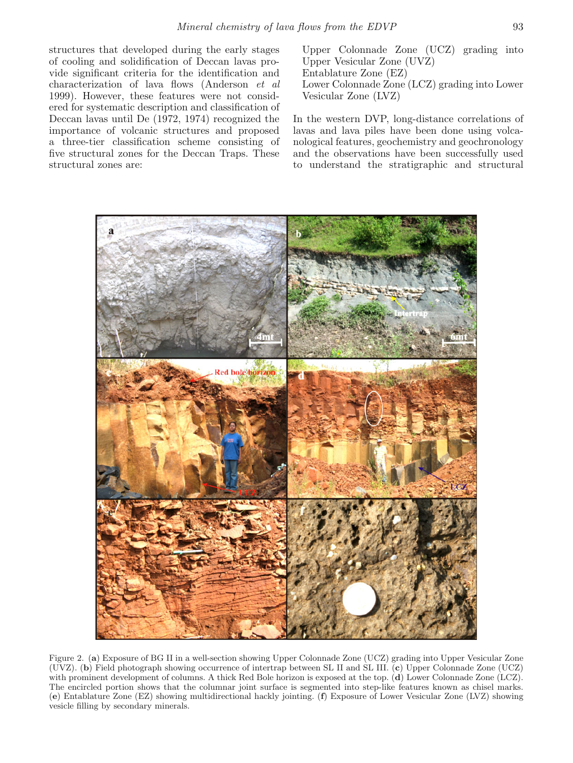structures that developed during the early stages of cooling and solidification of Deccan lavas provide significant criteria for the identification and characterization of lava flows (Anderson et al 1999). However, these features were not considered for systematic description and classification of Deccan lavas until De (1972, 1974) recognized the importance of volcanic structures and proposed a three-tier classification scheme consisting of five structural zones for the Deccan Traps. These structural zones are:

Upper Colonnade Zone (UCZ) grading into Upper Vesicular Zone (UVZ) Entablature Zone (EZ) Lower Colonnade Zone (LCZ) grading into Lower Vesicular Zone (LVZ)

In the western DVP, long-distance correlations of lavas and lava piles have been done using volcanological features, geochemistry and geochronology and the observations have been successfully used to understand the stratigraphic and structural



Figure 2. (**a**) Exposure of BG II in a well-section showing Upper Colonnade Zone (UCZ) grading into Upper Vesicular Zone (UVZ). (**b**) Field photograph showing occurrence of intertrap between SL II and SL III. (**c**) Upper Colonnade Zone (UCZ) with prominent development of columns. A thick Red Bole horizon is exposed at the top. (**d**) Lower Colonnade Zone (LCZ). The encircled portion shows that the columnar joint surface is segmented into step-like features known as chisel marks. (**e**) Entablature Zone (EZ) showing multidirectional hackly jointing. (**f**) Exposure of Lower Vesicular Zone (LVZ) showing vesicle filling by secondary minerals.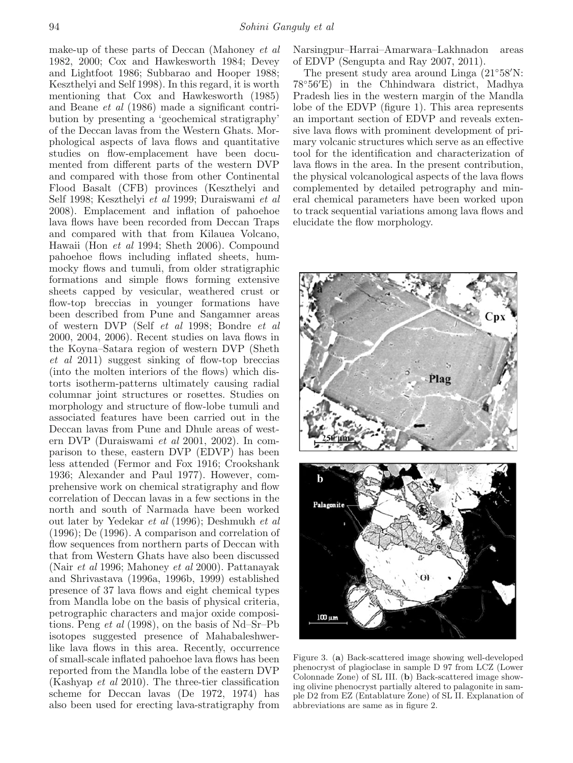make-up of these parts of Deccan (Mahoney et al 1982, 2000; Cox and Hawkesworth 1984; Devey and Lightfoot 1986; Subbarao and Hooper 1988; Keszthelyi and Self 1998). In this regard, it is worth mentioning that Cox and Hawkesworth (1985) and Beane et al (1986) made a significant contribution by presenting a 'geochemical stratigraphy' of the Deccan lavas from the Western Ghats. Morphological aspects of lava flows and quantitative studies on flow-emplacement have been documented from different parts of the western DVP and compared with those from other Continental Flood Basalt (CFB) provinces (Keszthelyi and Self 1998; Keszthelyi et al 1999; Duraiswami et al 2008). Emplacement and inflation of pahoehoe lava flows have been recorded from Deccan Traps and compared with that from Kilauea Volcano, Hawaii (Hon et al 1994; Sheth 2006). Compound pahoehoe flows including inflated sheets, hummocky flows and tumuli, from older stratigraphic formations and simple flows forming extensive sheets capped by vesicular, weathered crust or flow-top breccias in younger formations have been described from Pune and Sangamner areas of western DVP (Self et al 1998; Bondre et al 2000, 2004, 2006). Recent studies on lava flows in the Koyna–Satara region of western DVP (Sheth et al 2011) suggest sinking of flow-top breccias (into the molten interiors of the flows) which distorts isotherm-patterns ultimately causing radial columnar joint structures or rosettes. Studies on morphology and structure of flow-lobe tumuli and associated features have been carried out in the Deccan lavas from Pune and Dhule areas of western DVP (Duraiswami et al 2001, 2002). In comparison to these, eastern DVP (EDVP) has been less attended (Fermor and Fox 1916; Crookshank 1936; Alexander and Paul 1977). However, comprehensive work on chemical stratigraphy and flow correlation of Deccan lavas in a few sections in the north and south of Narmada have been worked out later by Yedekar et al (1996); Deshmukh et al (1996); De (1996). A comparison and correlation of flow sequences from northern parts of Deccan with that from Western Ghats have also been discussed (Nair et al 1996; Mahoney et al 2000). Pattanayak and Shrivastava (1996a, 1996b, 1999) established presence of 37 lava flows and eight chemical types from Mandla lobe on the basis of physical criteria, petrographic characters and major oxide compositions. Peng *et al* (1998), on the basis of Nd–Sr–Pb isotopes suggested presence of Mahabaleshwerlike lava flows in this area. Recently, occurrence of small-scale inflated pahoehoe lava flows has been reported from the Mandla lobe of the eastern DVP (Kashyap et al 2010). The three-tier classification scheme for Deccan lavas (De 1972, 1974) has also been used for erecting lava-stratigraphy from Narsingpur–Harrai–Amarwara–Lakhnadon areas of EDVP (Sengupta and Ray 2007, 2011).

The present study area around Linga (21◦58 N: 78◦56 E) in the Chhindwara district, Madhya Pradesh lies in the western margin of the Mandla lobe of the EDVP (figure 1). This area represents an important section of EDVP and reveals extensive lava flows with prominent development of primary volcanic structures which serve as an effective tool for the identification and characterization of lava flows in the area. In the present contribution, the physical volcanological aspects of the lava flows complemented by detailed petrography and mineral chemical parameters have been worked upon to track sequential variations among lava flows and elucidate the flow morphology.



Figure 3. (**a**) Back-scattered image showing well-developed phenocryst of plagioclase in sample D 97 from LCZ (Lower Colonnade Zone) of SL III. (**b**) Back-scattered image showing olivine phenocryst partially altered to palagonite in sample D2 from EZ (Entablature Zone) of SL II. Explanation of abbreviations are same as in figure 2.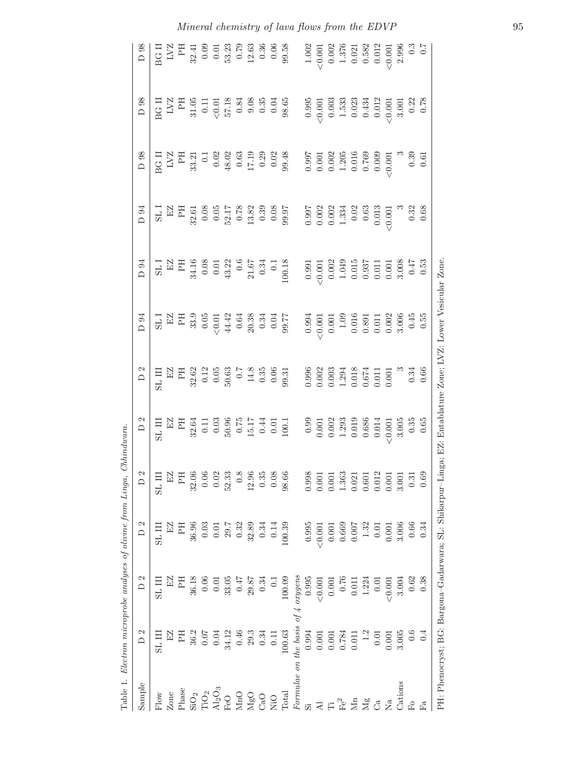|                          |                              |                          | Table 1. Electron microprobe analyses of olivine from Linga,                                                 |                  | Chhindwara.                                                                |                                                                                                                                                                                                                                                                                                                                                          |                                                                                            |                                                                                            |                                                                                                                                                                                                                               |                                                                                                                                                                                                                                                                                                               |                                                                          |                                                                              |
|--------------------------|------------------------------|--------------------------|--------------------------------------------------------------------------------------------------------------|------------------|----------------------------------------------------------------------------|----------------------------------------------------------------------------------------------------------------------------------------------------------------------------------------------------------------------------------------------------------------------------------------------------------------------------------------------------------|--------------------------------------------------------------------------------------------|--------------------------------------------------------------------------------------------|-------------------------------------------------------------------------------------------------------------------------------------------------------------------------------------------------------------------------------|---------------------------------------------------------------------------------------------------------------------------------------------------------------------------------------------------------------------------------------------------------------------------------------------------------------|--------------------------------------------------------------------------|------------------------------------------------------------------------------|
| Sample                   | $\mathfrak{a}$<br>$\Box$     | $\mathfrak{a}$<br>$\Box$ | $\mathfrak{a}$<br>$\Box$                                                                                     | $\overline{D}$ 2 | $\mathfrak{a}$<br>$\Box$                                                   | $\mathfrak{a}$<br>$\Box$                                                                                                                                                                                                                                                                                                                                 | D 94                                                                                       | D 94                                                                                       | D 94                                                                                                                                                                                                                          | D 98                                                                                                                                                                                                                                                                                                          | D 98                                                                     | D 98                                                                         |
| $_{\rm Flow}$            | SL III                       | SL III                   | SL III                                                                                                       | SL III           | $SL$ III                                                                   |                                                                                                                                                                                                                                                                                                                                                          |                                                                                            |                                                                                            |                                                                                                                                                                                                                               | $B G \quad \Box$                                                                                                                                                                                                                                                                                              | BG II                                                                    | BG II                                                                        |
| Zone                     | EZ                           | EZ                       | EZ                                                                                                           | EZ               |                                                                            |                                                                                                                                                                                                                                                                                                                                                          |                                                                                            |                                                                                            |                                                                                                                                                                                                                               | LVZ                                                                                                                                                                                                                                                                                                           | <b>LVZ</b>                                                               | LVZ                                                                          |
| Phase                    | Ηq                           | EE                       | HH                                                                                                           | PH               | EZ<br>PH                                                                   |                                                                                                                                                                                                                                                                                                                                                          |                                                                                            | $\begin{array}{c} {\rm SL~I}\\ {\rm EZ}\\ {\rm PH}\\ 34.16\\ 0.08 \end{array}$             |                                                                                                                                                                                                                               | H                                                                                                                                                                                                                                                                                                             |                                                                          | P <sub>H</sub>                                                               |
| $\mathrm{SiO}_2$         | 36.2                         | 36.18                    | 36.96                                                                                                        | 32.06            |                                                                            |                                                                                                                                                                                                                                                                                                                                                          |                                                                                            |                                                                                            |                                                                                                                                                                                                                               |                                                                                                                                                                                                                                                                                                               | PH<br>31.05<br>0.11                                                      | 32.41                                                                        |
| $\Gamma$ iO <sub>2</sub> | 0.07                         | 0.06                     | 0.03                                                                                                         | $0.06\,$         |                                                                            |                                                                                                                                                                                                                                                                                                                                                          |                                                                                            |                                                                                            |                                                                                                                                                                                                                               | $33.21$ 0.1                                                                                                                                                                                                                                                                                                   |                                                                          | 0.09                                                                         |
| $\rm Al_2O_3$            | 0.04                         | 0.01                     | 0.01                                                                                                         | $0.02\,$         | $32.64$<br>0.11<br>0.03<br>50.96                                           | $\begin{array}{c} \tt EZ \\ \tt PH \\ \tt 32.62 \\ \tt 30.12 \\ \tt 0.05 \\ \tt 0.07 \\ \tt 0.35 \\ \tt 0.39 \\ \tt 0.31 \\ \tt 0.39 \\ \tt 0.31 \\ \tt 0.30 \\ \tt 0.31 \\ \tt 0.33 \\ \tt 0.33 \\ \tt 0.33 \\ \tt 0.33 \\ \tt 0.33 \\ \tt 0.33 \\ \tt 0.33 \\ \tt 0.33 \\ \tt 0.33 \\ \tt 0.33 \\ \tt 0.33 \\ \tt 0.33 \\ \tt 0.33 \\ \tt 0.33 \\ \tt$ | $\begin{array}{c} {\rm SL~I}\\ {\rm EZ}\\ {\rm H1}\\ {\rm 33.9}\\ 0.05\\ \end{array}$      | $\begin{array}{c} 0.01 \\ 43.22 \end{array}$                                               | $\begin{array}{c} \text{SL}\,1 \\ \text{E}\,\text{L} \\ \text{P}\,\text{H} \\ \text{P}\,\text{H} \\ \text{S2.61} \\ \text{O}\,\text{.08} \\ \text{O}\,\text{.51} \\ \text{S2.17} \\ \text{S3.82} \\ \text{13.82} \end{array}$ |                                                                                                                                                                                                                                                                                                               |                                                                          |                                                                              |
| $_{\rm FeO}$             | 34.12                        | 33.05                    | 29.7                                                                                                         | 52.33            |                                                                            |                                                                                                                                                                                                                                                                                                                                                          |                                                                                            |                                                                                            |                                                                                                                                                                                                                               |                                                                                                                                                                                                                                                                                                               | $\frac{57.18}{57.18}$                                                    | $0.53$<br>$0.73$<br>$0.63$<br>$0.33$<br>$0.36$<br>$0.56$<br>$0.58$<br>$0.58$ |
| MnO                      | $0.46\,$                     | 15(0)                    | $\rm 0.32$                                                                                                   | 0.8              | $\begin{array}{c} 0.75 \\ 15.17 \\ 0.44 \\ 0.01 \\ 100.1 \end{array}$      |                                                                                                                                                                                                                                                                                                                                                          | $\begin{array}{c} 44.42 \\ 0.64 \\ 0.38 \\ 0.34 \\ 0.04 \\ 0.04 \\ \end{array}$            | $\begin{array}{c} 0.6 \\ 21.67 \\ 0.34 \end{array}$                                        |                                                                                                                                                                                                                               |                                                                                                                                                                                                                                                                                                               |                                                                          |                                                                              |
| ${ {\rm MgO}}$           | $29.3\,$                     | 29.87                    | 32.89                                                                                                        | 12.96            |                                                                            |                                                                                                                                                                                                                                                                                                                                                          |                                                                                            |                                                                                            |                                                                                                                                                                                                                               |                                                                                                                                                                                                                                                                                                               |                                                                          |                                                                              |
| CaO                      | 0.34                         | 0.34                     | 0.34                                                                                                         | $0.35\,$         |                                                                            |                                                                                                                                                                                                                                                                                                                                                          |                                                                                            |                                                                                            | 0.39                                                                                                                                                                                                                          |                                                                                                                                                                                                                                                                                                               | $\begin{array}{c} 0.08 \\ 0.35 \\ 0.04 \\ 0.85 \end{array}$              |                                                                              |
| <b>NiO</b>               | 0.11                         | $\overline{0}$           | 0.14                                                                                                         | $0.08\,$         |                                                                            |                                                                                                                                                                                                                                                                                                                                                          |                                                                                            |                                                                                            |                                                                                                                                                                                                                               |                                                                                                                                                                                                                                                                                                               |                                                                          |                                                                              |
| Total                    | 100.63                       | 100.09                   | 100.39                                                                                                       | 98.66            |                                                                            |                                                                                                                                                                                                                                                                                                                                                          |                                                                                            | $\begin{array}{c} 0.1 \\ 1.00.18 \end{array}$                                              | $0.08$<br>90.97                                                                                                                                                                                                               | $\begin{array}{c} 0.02 \\ 0.03 \\ 48.03 \\ 17.19 \\ 0.02 \\ 0.03 \\ 0.02 \\ 0.03 \\ 0.03 \\ 0.03 \\ 0.03 \\ 0.03 \\ 0.03 \\ 0.03 \\ 0.03 \\ 0.03 \\ 0.03 \\ 0.03 \\ 0.03 \\ 0.03 \\ 0.03 \\ 0.03 \\ 0.03 \\ 0.03 \\ 0.03 \\ 0.03 \\ 0.03 \\ 0.03 \\ 0.03 \\ 0.03 \\ 0.03 \\ 0.03 \\ 0.03 \\ 0.03 \\ 0.03 \\ $ |                                                                          |                                                                              |
|                          | Formulae on the basis of $4$ | $orggens$                |                                                                                                              |                  |                                                                            |                                                                                                                                                                                                                                                                                                                                                          |                                                                                            |                                                                                            |                                                                                                                                                                                                                               |                                                                                                                                                                                                                                                                                                               |                                                                          |                                                                              |
| $5\overline{2}$          | 0.994                        | 0.995                    | 0.995                                                                                                        | 0.998            |                                                                            |                                                                                                                                                                                                                                                                                                                                                          |                                                                                            | 0.991                                                                                      |                                                                                                                                                                                                                               |                                                                                                                                                                                                                                                                                                               | 0.995                                                                    | 1.002                                                                        |
| ੨                        | 0.001                        | < 0.001                  | $<\!0.001$                                                                                                   | $0.001\,$        | $\begin{array}{c} 0.99 \\ 0.001 \\ 0.002 \\ 1.293 \\ 1.293 \\ \end{array}$ | $\begin{array}{r} 0.996 \\ 0.002 \\ 0.003 \\ 1.294 \\ 0.018 \\ 0.674 \\ 0.674 \\ \end{array}$                                                                                                                                                                                                                                                            | $0.994$<br>$< 0.001$                                                                       | $<\!0.001$                                                                                 | $\begin{array}{c} 0.997 \\ 0.002 \\ 0.002 \\ 1.334 \end{array}$                                                                                                                                                               | $\begin{array}{l} 0.997 \\ 0.001 \\ 0.002 \\ 1.205 \\ 0.016 \\ 0.769 \\ 0.769 \\ \bigodot \end{array}$                                                                                                                                                                                                        | < 0.001                                                                  | $0.001$                                                                      |
|                          | 0.001                        | 0.001                    | 0.001                                                                                                        | 0.001            |                                                                            |                                                                                                                                                                                                                                                                                                                                                          |                                                                                            | 0.002                                                                                      |                                                                                                                                                                                                                               |                                                                                                                                                                                                                                                                                                               |                                                                          |                                                                              |
| $\mathrm{Fe}^2$          | 0.784                        | 0.76                     |                                                                                                              | 1.363            |                                                                            |                                                                                                                                                                                                                                                                                                                                                          |                                                                                            |                                                                                            |                                                                                                                                                                                                                               |                                                                                                                                                                                                                                                                                                               |                                                                          |                                                                              |
| Mn                       | 0.011                        | 0.011                    | $0.669$<br>$0.007$                                                                                           | 0.021            |                                                                            |                                                                                                                                                                                                                                                                                                                                                          |                                                                                            |                                                                                            | 0.02                                                                                                                                                                                                                          |                                                                                                                                                                                                                                                                                                               |                                                                          |                                                                              |
| Mg                       | 1.2                          | 1.224                    | 1.32                                                                                                         | 0.601            | 0.686                                                                      |                                                                                                                                                                                                                                                                                                                                                          | $\begin{array}{c} 0.001 \\ -1.09 \\ 0.016 \\ 0.891 \\ 0.011 \\ 0.002 \\ 3.006 \end{array}$ | $\begin{array}{c} 1.049 \\ 0.015 \\ 0.937 \\ 0.011 \\ 0.001 \\ 0.001 \\ 3.008 \end{array}$ |                                                                                                                                                                                                                               |                                                                                                                                                                                                                                                                                                               | $\begin{array}{c} 0.003 \\ 1.533 \\ 0.023 \\ 0.434 \\ 0.012 \end{array}$ | $\begin{array}{c} 0.002 \\ 1.376 \\ 0.021 \\ 0.582 \\ 0.502 \end{array}$     |
| ී                        | 0.01                         | 0.01                     | 0.01                                                                                                         | 0.012            | 0.014                                                                      |                                                                                                                                                                                                                                                                                                                                                          |                                                                                            |                                                                                            | $\begin{array}{c} 0.63 \\ 0.013 \end{array}$                                                                                                                                                                                  |                                                                                                                                                                                                                                                                                                               |                                                                          |                                                                              |
| Κa                       | 0.001                        | < 0.001                  | 0.001                                                                                                        | $0.001$          | < 0.001                                                                    | $0.001\,$                                                                                                                                                                                                                                                                                                                                                |                                                                                            |                                                                                            | 100.001                                                                                                                                                                                                                       |                                                                                                                                                                                                                                                                                                               | < 0.001                                                                  | 20.001                                                                       |
| Cations                  | 3.005                        | 3.004                    | 3.006                                                                                                        | 3.001            | 3.005                                                                      |                                                                                                                                                                                                                                                                                                                                                          |                                                                                            |                                                                                            |                                                                                                                                                                                                                               |                                                                                                                                                                                                                                                                                                               | $3.001$                                                                  | 2.996                                                                        |
| Ğ                        | 0.6                          | 0.62                     | 0.66                                                                                                         | 0.31             | 0.35                                                                       | 0.34                                                                                                                                                                                                                                                                                                                                                     | 0.45                                                                                       | $0.47\,$                                                                                   | $\begin{array}{c} 32 \\ 0.32 \end{array}$                                                                                                                                                                                     | 0.39                                                                                                                                                                                                                                                                                                          | $0.22$<br>$0.78$                                                         | $\begin{array}{c} 0.7 \\ 0.7 \end{array}$                                    |
| Ēã                       | 0.4                          | 0.38                     | 0.34                                                                                                         | 0.69             | 0.65                                                                       | 0.66                                                                                                                                                                                                                                                                                                                                                     | 0.55                                                                                       | 0.53                                                                                       | 0.68                                                                                                                                                                                                                          | 0.61                                                                                                                                                                                                                                                                                                          |                                                                          |                                                                              |
|                          |                              |                          | PH: Phenocryst; BG: Bargona-Gadarwara; SL: Shikarpur-Linga; EZ: Entablature Zone; LVZ: Lower Vesicular Zone. |                  |                                                                            |                                                                                                                                                                                                                                                                                                                                                          |                                                                                            |                                                                                            |                                                                                                                                                                                                                               |                                                                                                                                                                                                                                                                                                               |                                                                          |                                                                              |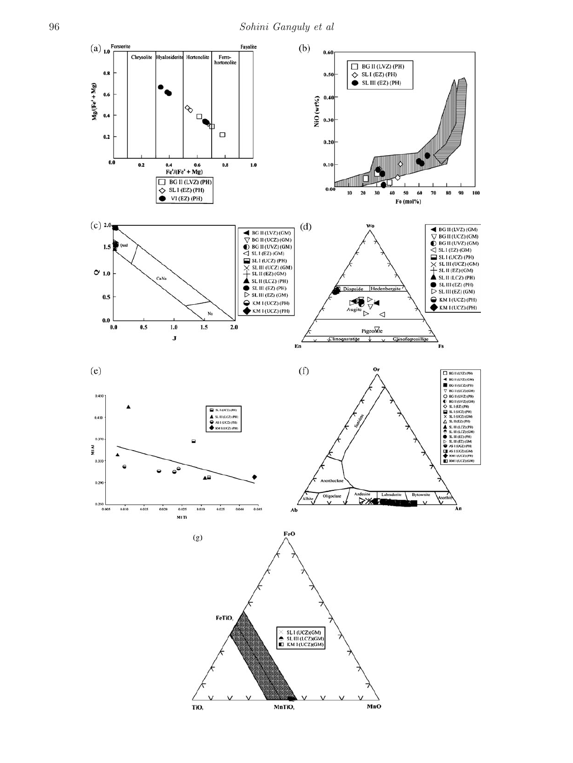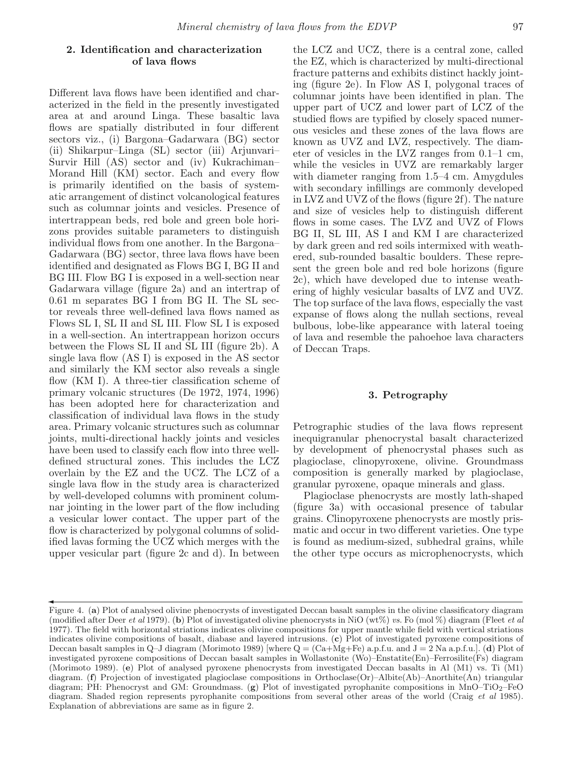# **2. Identification and characterization of lava flows**

Different lava flows have been identified and characterized in the field in the presently investigated area at and around Linga. These basaltic lava flows are spatially distributed in four different sectors viz., (i) Bargona–Gadarwara (BG) sector (ii) Shikarpur–Linga (SL) sector (iii) Arjunvari– Survir Hill (AS) sector and (iv) Kukrachiman– Morand Hill (KM) sector. Each and every flow is primarily identified on the basis of systematic arrangement of distinct volcanological features such as columnar joints and vesicles. Presence of intertrappean beds, red bole and green bole horizons provides suitable parameters to distinguish individual flows from one another. In the Bargona– Gadarwara (BG) sector, three lava flows have been identified and designated as Flows BG I, BG II and BG III. Flow BG I is exposed in a well-section near Gadarwara village (figure 2a) and an intertrap of 0.61 m separates BG I from BG II. The SL sector reveals three well-defined lava flows named as Flows SL I, SL II and SL III. Flow SL I is exposed in a well-section. An intertrappean horizon occurs between the Flows SL II and SL III (figure 2b). A single lava flow (AS I) is exposed in the AS sector and similarly the KM sector also reveals a single flow (KM I). A three-tier classification scheme of primary volcanic structures (De 1972, 1974, 1996) has been adopted here for characterization and classification of individual lava flows in the study area. Primary volcanic structures such as columnar joints, multi-directional hackly joints and vesicles have been used to classify each flow into three welldefined structural zones. This includes the LCZ overlain by the EZ and the UCZ. The LCZ of a single lava flow in the study area is characterized by well-developed columns with prominent columnar jointing in the lower part of the flow including a vesicular lower contact. The upper part of the flow is characterized by polygonal columns of solidified lavas forming the UCZ which merges with the upper vesicular part (figure 2c and d). In between

the LCZ and UCZ, there is a central zone, called the EZ, which is characterized by multi-directional fracture patterns and exhibits distinct hackly jointing (figure 2e). In Flow AS I, polygonal traces of columnar joints have been identified in plan. The upper part of UCZ and lower part of LCZ of the studied flows are typified by closely spaced numerous vesicles and these zones of the lava flows are known as UVZ and LVZ, respectively. The diameter of vesicles in the LVZ ranges from 0.1–1 cm, while the vesicles in UVZ are remarkably larger with diameter ranging from 1.5–4 cm. Amygdules with secondary infillings are commonly developed in LVZ and UVZ of the flows (figure 2f). The nature and size of vesicles help to distinguish different flows in some cases. The LVZ and UVZ of Flows BG II, SL III, AS I and KM I are characterized by dark green and red soils intermixed with weathered, sub-rounded basaltic boulders. These represent the green bole and red bole horizons (figure 2c), which have developed due to intense weathering of highly vesicular basalts of LVZ and UVZ. The top surface of the lava flows, especially the vast expanse of flows along the nullah sections, reveal bulbous, lobe-like appearance with lateral toeing of lava and resemble the pahoehoe lava characters of Deccan Traps.

## **3. Petrography**

Petrographic studies of the lava flows represent inequigranular phenocrystal basalt characterized by development of phenocrystal phases such as plagioclase, clinopyroxene, olivine. Groundmass composition is generally marked by plagioclase, granular pyroxene, opaque minerals and glass.

Plagioclase phenocrysts are mostly lath-shaped (figure 3a) with occasional presence of tabular grains. Clinopyroxene phenocrysts are mostly prismatic and occur in two different varieties. One type is found as medium-sized, subhedral grains, while the other type occurs as microphenocrysts, which

Figure 4. (**a**) Plot of analysed olivine phenocrysts of investigated Deccan basalt samples in the olivine classificatory diagram (modified after Deer et al 1979). (**b**) Plot of investigated olivine phenocrysts in NiO (wt%) vs. Fo (mol %) diagram (Fleet et al 1977). The field with horizontal striations indicates olivine compositions for upper mantle while field with vertical striations indicates olivine compositions of basalt, diabase and layered intrusions. (**c**) Plot of investigated pyroxene compositions of Deccan basalt samples in  $Q$ -J diagram (Morimoto 1989) [where  $Q = (Ca + Mg + Fe)$  a.p.f.u. and  $J = 2$  Na a.p.f.u.]. (**d**) Plot of investigated pyroxene compositions of Deccan basalt samples in Wollastonite (Wo)–Enstatite(En)–Ferrosilite(Fs) diagram (Morimoto 1989). (**e**) Plot of analysed pyroxene phenocrysts from investigated Deccan basalts in Al (M1) vs. Ti (M1) diagram. (**f**) Projection of investigated plagioclase compositions in Orthoclase(Or)–Albite(Ab)–Anorthite(An) triangular diagram; PH: Phenocryst and GM: Groundmass. (**g**) Plot of investigated pyrophanite compositions in MnO–TiO<sub>2</sub>–FeO diagram. Shaded region represents pyrophanite compositions from several other areas of the world (Craig et al 1985). Explanation of abbreviations are same as in figure 2.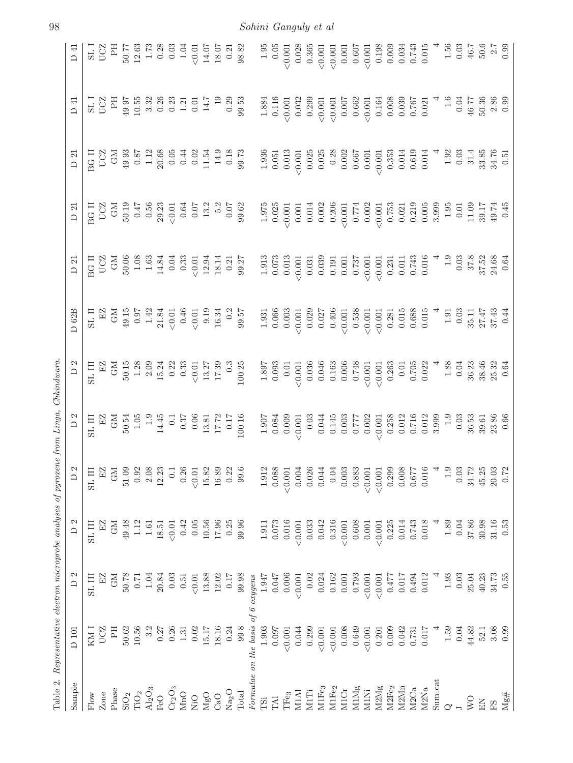|                                       | Table 2. Representative electron microprobe analyses of pyroxene from Linga, Chhindwara |                          |                     |                  |                          |                  |                                                      |                                             |                   |                                             |                 |                       |
|---------------------------------------|-----------------------------------------------------------------------------------------|--------------------------|---------------------|------------------|--------------------------|------------------|------------------------------------------------------|---------------------------------------------|-------------------|---------------------------------------------|-----------------|-----------------------|
| Sample                                | D 101                                                                                   | $\mathfrak{a}$<br>$\Box$ | $\mathfrak{a}$<br>≏ | $\overline{D}$ 2 | $\mathfrak{a}$<br>$\Box$ | $\overline{D}$ 2 | 62B<br>$\Box$                                        | $\overline{c}$<br>$\Box$                    | $\overline{D}$ 21 | $\overline{D}$ 21                           | $D$ 41          | Φ<br>$\sum_{i=1}^{n}$ |
| ${\rm Flow}$                          | KM I                                                                                    | SL III                   | SL III              | SL III           | SL III                   | SL III           | $SL$ II                                              | BG II                                       | BG II             | BG II                                       | SL <sub>1</sub> | SL                    |
| Zone                                  | UCZ                                                                                     | EZ                       | EZ                  | E                | EZ                       | EZ               | EZ                                                   | UCZ                                         | UCZ               | UCZ                                         | UCZ             | UCZ                   |
| Phase                                 | HH                                                                                      | <b>ND</b>                | N<br>S              | <b>NC</b>        | $\mathcal{L}_{\text{C}}$ | <b>ND</b>        | <b>GN</b>                                            | <b>GM</b>                                   | $\rm GM$          | <b>GN</b>                                   | HH              | HH                    |
| $\rm SiO_2$                           | 50.62                                                                                   | 50.78                    | 49.48               | 51.09            | 50.54                    | $50.15$          | 49.15                                                | 50.06                                       | 50.19             | 49.93                                       | 49.97           | 50.77                 |
| $\rm TiO_2$                           | 10.56                                                                                   | 0.71                     | 1.12                | 0.92             | 1.05                     | 1.28             |                                                      |                                             | 0.47              |                                             | 10.55           | 12.63                 |
| $Al_2O_3$                             | 3.2                                                                                     | 1.04                     | $1.61\,$            | 2.08             | 1.9                      | 2.09             |                                                      | $\begin{array}{c} 1.08 \\ 1.63 \end{array}$ | $0.56\,$          | $\begin{array}{c} 0.87 \\ 1.12 \end{array}$ | 3.32            | 1.73                  |
| FeO                                   | 0.27                                                                                    | 20.84                    | 18.51               | 12.23            | 14.45                    | 15.24            | $\begin{array}{c} 0.97 \\ 1.42 \\ 21.84 \end{array}$ | 14.84                                       | 29.23             | 20.68                                       | 0.26            | 0.28                  |
| $\rm Cr_2O_3$                         | 0.26                                                                                    | 0.03                     | < 0.01              | $\overline{0.1}$ | 0.1                      | 0.22             | $<\!0.01$                                            | 0.04                                        | < 0.01            | 0.05                                        | 0.23            | 0.03                  |
| MnO                                   | $1.31\,$                                                                                | 0.51                     | 0.42                | 0.26             | 0.37                     | 0.33             | 0.46                                                 | 0.33                                        | 0.64              | 0.44                                        | $1.21\,$        | 1.04                  |
| <b>DiN</b>                            | 0.02                                                                                    | < 0.01                   | 0.05                | $<\!0.01$        | 0.06                     | < 0.01           | < 0.01                                               | < 0.01                                      | 0.07              | 0.02                                        | $0.01\,$        | < 0.01                |
| MgO                                   | 15.17                                                                                   | 13.88                    | 10.56               | 15.82            | 13.81                    | 13.27            | 9.19                                                 | 12.94                                       | 13.2              | 11.54                                       | 14.7            | 14.07                 |
| CaO                                   | 18.16                                                                                   | 12.02                    | 17.96               | 16.89            | 17.72                    | 17.39            | 16.34                                                | 18.14                                       | 5.2               | 14.9                                        | $^{9}$          | 18.07                 |
| $\rm Na_2O$                           | 0.24                                                                                    | 0.17                     | 0.25                | 0.22             | 0.17                     | 0.3              | 0.2                                                  | 0.21                                        | 0.07              | 0.18                                        | 0.29            | 0.21                  |
| Total                                 | $99.8\,$                                                                                | 99.98                    | 99.96               | 9.6 <sub>0</sub> | 100.16                   | 100.25           | 99.57                                                | 99.27                                       | 99.62             | 99.73                                       | 99.53           | 98.82                 |
|                                       | Formulae on the basis of 6 oxygens                                                      |                          |                     |                  |                          |                  |                                                      |                                             |                   |                                             |                 |                       |
| TSi                                   | 1.903                                                                                   | 1.947                    | 1.911               | 1.912            | 1.907                    | 1.897            | 1.931                                                | 1.913                                       | 1.975             | 1.936                                       | 1.884           | 1.95                  |
| TAI                                   | 0.097                                                                                   | 170.0                    | 0.073               | 0.088            | 0.084                    | 0.093            | 0.066                                                | 0.073                                       | 0.025             | 0.051                                       | 0.116           | 0.05                  |
| TFe <sub>3</sub>                      | $<\!0.001$                                                                              | 0.006                    | 0.016               | $<\!0.001$       | 0.009                    | 0.01             | 0.003                                                | 0.013                                       | < 0.001           | 0.013                                       | < 0.001         | < 0.001               |
| M1AI                                  | 0.044                                                                                   | $<\!0.001$               | $<\!0.001$          | 0.004            | < 0.001                  | < 0.001          | < 0.001                                              | < 0.001                                     | 0.001             | < 0.001                                     | 0.032           | 0.028                 |
| M1Ti                                  | 0.299                                                                                   | 0.02                     | 0.033               | 0.026            | 0.03                     | 0.036            | 0.029                                                |                                             | 0.014             | 0.025                                       | 0.299           | 0.365                 |
| M1Fe <sub>3</sub>                     | < 0.001                                                                                 | 0.024                    | 0.042               | 0.044            | 0.044                    | 0.046            | 0.027                                                | $0.031$<br>$0.039$                          | 0.002             | 0.025                                       | < 0.001         | < 0.001               |
| M1Fe <sub>2</sub>                     | $<\!0.001$                                                                              | 0.162                    | 0.316               | 0.04             | 0.145                    | 0.163            | 0.406                                                | 0.191                                       | 0.206             | 0.28                                        | < 0.001         | < 0.001               |
| M1Cr                                  | 0.008                                                                                   | $0.001\,$                | $<\!0.001$          | 0.003            | 0.003                    | 0.006            | < 0.001                                              | 0.001                                       | $<\!0.001$        | 0.002                                       | 0.007           | 0.001                 |
| MIMg                                  | 0.649                                                                                   | 0.793                    | 0.608               | 0.883            | 0.777                    | 0.748            | 0.538                                                | 0.737                                       | 0.774             | 0.667                                       | 0.662           | 0.607                 |
| <b>M1Ni</b>                           | $<\!0.001$                                                                              | $<\!0.001$               | 0.001               | $<\!0.001$       | 0.002                    | < 0.001          | $<\!0.001$                                           | $<\!0.001$                                  | 0.002             | 0.001                                       | < 0.001         | < 0.001               |
| M2Mg                                  | $0.201\,$                                                                               | $<\!0.001$               | $<\!0.001$          | $<\!0.001$       | < 0.001                  | $<\!0.001$       | $<\!0.001$                                           | $<\!0.001$                                  | $<\!0.001$        | $<\!0.001$                                  | 0.164           | 0.198                 |
| $\ensuremath{\mathrm{M2Fe_2}}\xspace$ | 0.009                                                                                   | 0.477                    | 0.225               | 0.299            | 0.258                    | 0.263            | 0.281                                                | 0.231                                       | 0.753             | 0.353                                       | 0.008           | 0.009                 |
| M2M <sub>n</sub>                      | 0.042                                                                                   | 0.017                    | 0.014               | 0.008            | 0.012                    | 0.01             | 0.015                                                | $0.011$<br>$0.743$                          | 0.021             | 0.014                                       | 0.039           | 0.034                 |
| M <sub>2</sub> C <sub>a</sub>         | 0.731                                                                                   | 0.494                    | 0.743               | 0.677            | 0.716                    | 0.705            | 0.688                                                |                                             | 0.219             | 0.619                                       | 0.767           | 0.743                 |
| M2Na                                  | 0.017                                                                                   | 0.012                    | 0.018               | 0.016            | 0.012                    | 0.022            | 0.015                                                | 0.016                                       | 0.005             | 0.014                                       | 0.021           | 0.015                 |
| Sum_cat                               |                                                                                         |                          |                     |                  | 3.999                    |                  |                                                      |                                             | 3.999             |                                             |                 |                       |
| $\mathcal{O}$                         | 1.59                                                                                    | 1.93                     | $1.89\,$            | $\frac{0}{1}$    | 1.9                      | $1.88\,$         | 1.91                                                 | 1.9                                         | 1.95              | 1.92                                        | 1.6             | 1.56                  |
|                                       | 0.04                                                                                    | 0.03                     | 0.04                | 0.03             | 0.03                     | 0.04             | 0.03                                                 | 0.03                                        | 0.01              | 0.03                                        | 0.04            | 0.03                  |
| WQ                                    | 44.82                                                                                   | 25.04                    | 37.86               | 34.72            | 36.53                    | 36.23            | 35.11                                                | 37.8                                        | 11.09             | 31.4                                        | 46.77           | 46.7                  |
| EN                                    | 52.1                                                                                    | 40.23                    | 30.98               | 45.25            | 39.61                    | 38.46            | 27.47<br>37.43                                       | 37.52                                       | 39.17             | 33.85                                       | 50.36           | 50.6                  |
| $\mathop{\mathrm{ES}}$                | 3.08                                                                                    | 34.73                    | 31.16               | 20.03            | 23.86                    | 25.32            |                                                      | 24.68                                       | 49.74             | 34.76                                       | 2.86            | $\overline{2.7}$      |
| Mg#                                   | 0.99                                                                                    | 0.55                     | 0.53                | 0.72             | 0.66                     | 0.64             | 0.44                                                 | 0.64                                        | 0.45              | 0.51                                        | 0.99            | 0.99                  |

98 Sohini Ganguly et al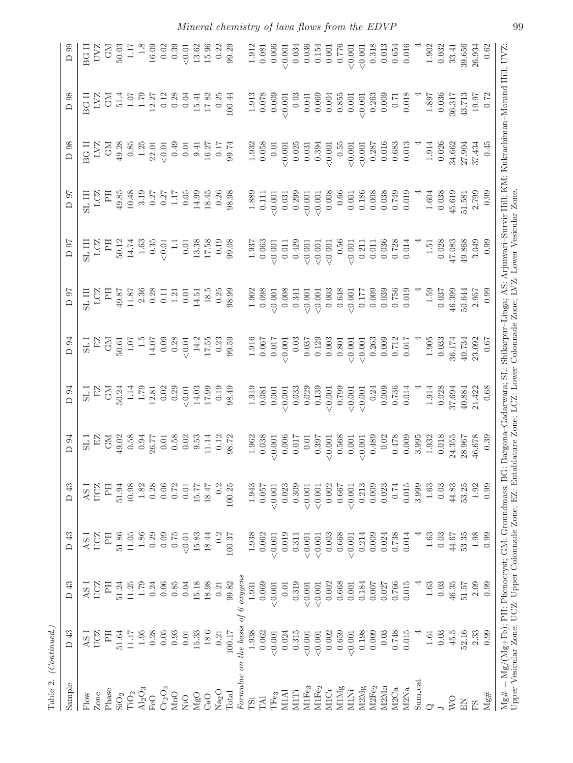|                                | Table 2. (Continued.)                                                                                                                                                                  |                 |              |          |           |                                                                                                       |              |              |              |              |              |              |                             |
|--------------------------------|----------------------------------------------------------------------------------------------------------------------------------------------------------------------------------------|-----------------|--------------|----------|-----------|-------------------------------------------------------------------------------------------------------|--------------|--------------|--------------|--------------|--------------|--------------|-----------------------------|
| Sample                         | D 43                                                                                                                                                                                   | 43<br>$\Box$    | 43<br>$\Box$ | D 43     | D 94      | <b>D</b> 94                                                                                           | 94<br>$\Box$ | 55<br>$\Box$ | 56<br>$\Box$ | 55<br>$\Box$ | 98<br>$\Box$ | 98<br>$\Box$ | 99<br>$\Box$                |
| Flow                           | ASI                                                                                                                                                                                    | $\overline{AS}$ | AS           | AS       | -<br>15   | 11S                                                                                                   | 11S          | SL III       | SL III       | SL III       | BG II        | BG II        | BG II                       |
| Zone                           | UCZ                                                                                                                                                                                    | UCZ             | UCZ          | UCZ      | EZ        | EZ                                                                                                    | EZ           | LCZ          | LCZ          | LCZ          | LVZ          | LVZ          | UVZ                         |
| Phase                          | Η                                                                                                                                                                                      | E               | ΗH           | Η        | <b>NP</b> | <b>NC</b>                                                                                             | <b>NC</b>    | HH           | ΗH           | Η            | <b>GM</b>    | <b>ND</b>    | $\mathcal{E}^{\mathcal{D}}$ |
| $\rm SiO_2$                    | 51.64                                                                                                                                                                                  | 51.24           | 51.86        | 51.94    | 49.02     | 50.24                                                                                                 | 50.61        | 49.87        | 50.12        | 49.85        | 49.28        | 51.4         | 50.03                       |
| $\Gamma$ iO2                   | 11.17                                                                                                                                                                                  | 11.25           | 11.05        | 10.98    | 0.58      | $1.14\,$                                                                                              | 1.07         | 11.87        | 14.74        | 10.48        | 0.85         | 1.07         | $\frac{1}{11}$              |
| $\rm Al_2O_3$                  | 1.95                                                                                                                                                                                   | 1.79            | $1.86\,$     | 1.82     | 0.94      | $1.79\,$                                                                                              | 1.5          | 2.36         | $1.63\,$     | 3.19         | 1.25         | 1.79         | $\frac{8}{1}$               |
| <b>FeO</b>                     | 0.28                                                                                                                                                                                   | 0.24            | 0.29         | 0.28     | 26.77     | 12.81                                                                                                 | 14.07        | 0.28         | 0.35         | 0.27         | 22.01        | 12.27        | 16.09                       |
| Cr <sub>2</sub> O <sub>3</sub> | 0.05                                                                                                                                                                                   | 0.06            | 0.09         | 0.06     | $0.01\,$  | 0.02                                                                                                  | 0.09         | 0.11         | < 0.01       | 0.27         | $<\!0.01$    | 0.12         | 0.02                        |
| MnO                            | 0.93                                                                                                                                                                                   | 0.85            | 0.75         | 0.72     | 0.58      | 0.29                                                                                                  | 0.28         | 1.21         | $\Xi$        | 1.17         | 0.49         | 0.28         | 0.39                        |
| SiO                            | 0.01                                                                                                                                                                                   | 0.04            | < 0.01       | 0.01     | 0.02      | ${}_{<0.01}$                                                                                          | < 0.01       | 0.01         | 0.01         | 0.05         | $0.01\,$     | 0.04         | < 0.01                      |
| MgO                            | 15.33                                                                                                                                                                                  | 15.18           | 15.83        | 15.77    | 9.53      | 14.03                                                                                                 | 14.2         | 14.51        | 13.38        | 14.99        | 9.41         | 15.41        | 13.62                       |
| CaO                            | 18.6                                                                                                                                                                                   | 18.98           | 18.44        | 18.47    | 11.14     | 17.99                                                                                                 | 17.55        | 18.5         | 17.58        | 18.45        | 16.27        | 17.82        | 15.96                       |
| $\rm Na_2O$                    | 0.21                                                                                                                                                                                   | 0.21            | 0.2          | 0.2      | 0.12      | 0.19                                                                                                  | 0.23         | 0.25         | 0.19         | 0.26         | 0.17         | 0.25         | 0.22                        |
| Total                          | 100.17                                                                                                                                                                                 | 99.82           | 100.37       | 100.25   | 98.72     | 98.49                                                                                                 | 99.59        | 98.99        | 99.08        | 98.98        | 99.74        | 100.44       | 99.29                       |
|                                | Formulae on the basis of 6 oxygens                                                                                                                                                     |                 |              |          |           |                                                                                                       |              |              |              |              |              |              |                             |
| <b>TSi</b>                     | 1.938                                                                                                                                                                                  | 1.931           | 1.938        | 1.943    | 1.962     | $1.919\,$                                                                                             | 1.916        | $1.902\,$    | 1.937        | 1.889        | 1.932        | $1.913\,$    | 1.912                       |
| <b>TAI</b>                     | 0.062                                                                                                                                                                                  | 0.069           | 0.062        | 0.057    | 0.038     | 0.081                                                                                                 | 0.067        | 0.098        | 0.063        | 0.111        | 0.058        | 0.078        | 0.081                       |
| TFe <sub>3</sub>               | $<\!0.001$                                                                                                                                                                             | < 0.001         | $<\!0.001$   | < 0.001  | < 0.001   | 0.001                                                                                                 | 0.017        | $<\!0.001$   | < 0.001      | $<\!0.001$   | 0.01         | 0.009        | 0.006                       |
| MIAI                           | 0.024                                                                                                                                                                                  | 0.01            | 0.019        | 0.023    | 0.006     | < 0.001                                                                                               | < 0.001      | 0.008        | 0.011        | 0.031        | < 0.001      | < 0.001      | < 0.001                     |
| M1Ti                           | 0.315                                                                                                                                                                                  | 0.319           | 0.311        | 0.309    | 0.017     | 0.033                                                                                                 | 0.03         | 0.341        | 0.429        | 0.299        | 0.025        | 0.03         | 0.034                       |
| M1Fe <sub>3</sub>              | < 0.001                                                                                                                                                                                | < 0.001         | < 0.001      | < 0.001  | 0.01      | 0.029                                                                                                 | 0.037        | < 0.001      | < 0.001      | < 0.001      | 0.031        | 0.041        | 0.036                       |
| M1Fe <sub>2</sub>              | $<\!0.001$                                                                                                                                                                             | < 0.001         | < 0.001      | < 0.001  | 0.397     | 0.139                                                                                                 | 0.129        | < 0.001      | < 0.001      | < 0.001      | 0.394        | 0.069        | 0.154                       |
| M1Cr                           | 0.002                                                                                                                                                                                  | 0.002           | 0.003        | 0.002    | < 0.001   | < 0.001                                                                                               | 0.003        | 0.003        | < 0.001      | 0.008        | < 0.001      | 0.004        | 0.001                       |
| $\ensuremath{\mathrm{MIMg}}$   | 0.659                                                                                                                                                                                  | 0.668           | 0.668        | 0.667    | 0.568     | 0.799                                                                                                 | 0.801        | 0.648        | 0.56         | 0.66         | 0.55         | 0.855        | 0.776                       |
| <b>M1Ni</b>                    | < 0.001                                                                                                                                                                                | 0.001           | < 0.001      | < 0.001  | $0.001\,$ | < 0.001                                                                                               | < 0.001      | < 0.001      | < 0.001      | 0.001        | < 0.001      | 0.001        | < 0.001                     |
| M2Mg                           | 0.198                                                                                                                                                                                  | 0.184           | 0.214        | 0.213    | < 0.001   | $<\!0.001$                                                                                            | < 0.001      | 0.177        | 0.211        | 0.186        | < 0.001      | < 0.001      | < 0.001                     |
| M2Fe <sub>2</sub>              | 0.009                                                                                                                                                                                  | 0.007           | 0.009        | 0.009    | 0.489     | 0.24                                                                                                  | 0.263        | 0.009        | 0.011        | 0.008        | 0.287        | 0.263        | 0.318                       |
| M2M <sub>n</sub>               | 0.03                                                                                                                                                                                   | 0.027           | 0.024        | 0.023    | 0.02      | 0.009                                                                                                 | 0.009        | 0.039        | 0.036        | 0.038        | 0.016        | 0.009        | 0.013                       |
| M <sub>2C</sub> a              | 0.748                                                                                                                                                                                  | 0.766           | 0.738        | 0.74     | 0.478     | 0.736                                                                                                 | 0.712        | 0.756        | 0.728        | 0.749        | 0.683        | 0.71         | 0.654                       |
| M2Na                           | 0.015                                                                                                                                                                                  | 0.015           | $0.014\,$    | 0.015    | 0.009     | 0.014                                                                                                 | 0.017        | 0.019        | 0.014        | 0.019        | 0.013        | 0.018        | 0.016                       |
| $Sum\_cat$                     |                                                                                                                                                                                        |                 |              | 3.999    | 3.995     |                                                                                                       |              |              |              |              |              |              |                             |
| $\mathcal{O}$                  | $1.61\,$                                                                                                                                                                               | $1.63\,$        | $1.63\,$     | $1.63\,$ | 1.932     | 1.914                                                                                                 | $1.905\,$    | 1.59         | 1.51         | 1.604        | 1.914        | 1.897        | 1.902                       |
|                                | 0.03                                                                                                                                                                                   | 0.03            | 0.03         | 0.03     | 0.018     | 0.028                                                                                                 | 0.033        | 0.037        | 0.028        | 0.038        | 0.026        | 0.036        | 0.032                       |
| W <sub>O</sub>                 | 45.5                                                                                                                                                                                   | 46.35           | 44.67        | 44.83    | 24.355    | 37.694                                                                                                | 36.174       | 46.399       | 47.083       | 45.619       | 34.662       | 36.317       | 33.41                       |
| EN                             | 52.16                                                                                                                                                                                  | 51.57           | 53.35        | 53.25    | 28.967    | 40.884                                                                                                | 40.734       | 50.644       | 49.868       | 51.581       | 27.904       | 43.713       | 39.656                      |
| FS                             | 2.33                                                                                                                                                                                   | 2.09            | 1.98         | 1.92     | 46.678    | 21.422                                                                                                | 23.092       | 2.957        | 3.049        | 2.799        | 37.434       | 19.97        | 26.934                      |
| Mg#                            | 0.99                                                                                                                                                                                   | 0.99            | 0.99         | 0.99     | 0.39      | $0.68\,$                                                                                              | 0.67         | 0.99         | 0.99         | 0.99         | 0.45         | 0.72         | 0.62                        |
|                                | Upper Vesicular Zone; UCZ: Upper Colonnade Zone; EZ: Entablature Zone; LCZ: Lower Colonnade Zone; LVZ: Lower Vesicular Zone.<br>$Mg# = Mg/(Mg+Fe);$ PH: Phenocryst; GM: Groundmass; BG |                 |              |          |           | : Bargona-Gadarwara; SL: Shikarpur-Linga; AS: Arjunvari-Survir Hill; KM: Kukrachiman-Morand Hill; UVZ |              |              |              |              |              |              |                             |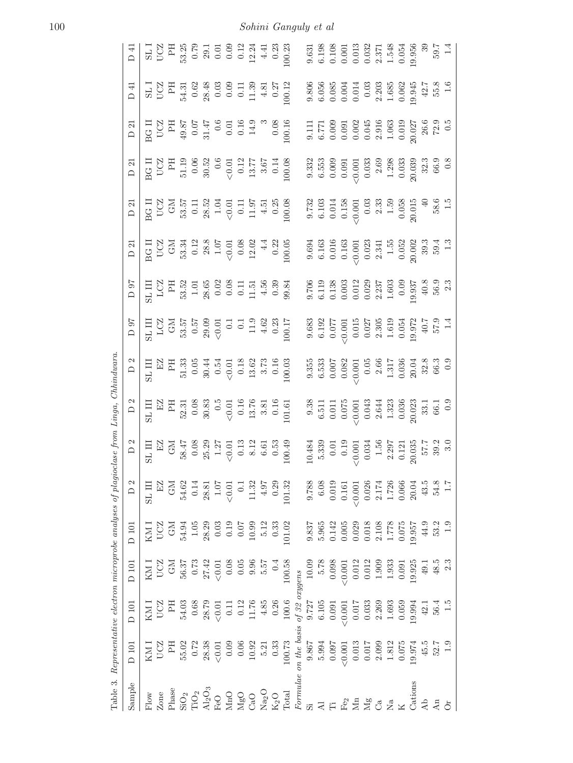|                                                                                                                                                                                                                                | $Table 3.$ Representative electron microprobe analyses of plagic                                                                                                   |                                                                                                                                           |                                                                                             |                                                                                                                         |                                                                          | mou<br>oclase                                                                                                                                                                                                                                                                                                                                                                                           | rnga,                                                                                                                                                                                                                                                                                                                                                                                       | nnaura                                                                                                                                                                                                                                                                                                                                                                                                                                                       |                                                                                                                                                                                                                                                                                                                                 |                                                                                                                                                                                                                                                                                                                                                                                                                                                            |                                                                                                                                                                                                                                                                                                                             |                   |                                                                                                                                                                                                                                                                                                                                     |                                                                                                                                                                                                                                                                                                                                                                                      |                                                                                                                                                                                                                                                                                                                                                                                                                                                              |                                                                                                                                                                                                                                                                                                                                                                                                                                                   |
|--------------------------------------------------------------------------------------------------------------------------------------------------------------------------------------------------------------------------------|--------------------------------------------------------------------------------------------------------------------------------------------------------------------|-------------------------------------------------------------------------------------------------------------------------------------------|---------------------------------------------------------------------------------------------|-------------------------------------------------------------------------------------------------------------------------|--------------------------------------------------------------------------|---------------------------------------------------------------------------------------------------------------------------------------------------------------------------------------------------------------------------------------------------------------------------------------------------------------------------------------------------------------------------------------------------------|---------------------------------------------------------------------------------------------------------------------------------------------------------------------------------------------------------------------------------------------------------------------------------------------------------------------------------------------------------------------------------------------|--------------------------------------------------------------------------------------------------------------------------------------------------------------------------------------------------------------------------------------------------------------------------------------------------------------------------------------------------------------------------------------------------------------------------------------------------------------|---------------------------------------------------------------------------------------------------------------------------------------------------------------------------------------------------------------------------------------------------------------------------------------------------------------------------------|------------------------------------------------------------------------------------------------------------------------------------------------------------------------------------------------------------------------------------------------------------------------------------------------------------------------------------------------------------------------------------------------------------------------------------------------------------|-----------------------------------------------------------------------------------------------------------------------------------------------------------------------------------------------------------------------------------------------------------------------------------------------------------------------------|-------------------|-------------------------------------------------------------------------------------------------------------------------------------------------------------------------------------------------------------------------------------------------------------------------------------------------------------------------------------|--------------------------------------------------------------------------------------------------------------------------------------------------------------------------------------------------------------------------------------------------------------------------------------------------------------------------------------------------------------------------------------|--------------------------------------------------------------------------------------------------------------------------------------------------------------------------------------------------------------------------------------------------------------------------------------------------------------------------------------------------------------------------------------------------------------------------------------------------------------|---------------------------------------------------------------------------------------------------------------------------------------------------------------------------------------------------------------------------------------------------------------------------------------------------------------------------------------------------------------------------------------------------------------------------------------------------|
| Sample                                                                                                                                                                                                                         | D <sub>101</sub>                                                                                                                                                   | D <sub>101</sub>                                                                                                                          | D <sub>101</sub>                                                                            | D 101                                                                                                                   | $\mathfrak{a}$<br>$\Box$                                                 | $\overline{D}$ 2                                                                                                                                                                                                                                                                                                                                                                                        | $\overline{D}$ 2                                                                                                                                                                                                                                                                                                                                                                            | $\Box$                                                                                                                                                                                                                                                                                                                                                                                                                                                       | D 97                                                                                                                                                                                                                                                                                                                            | $16\ \mathrm{C}$                                                                                                                                                                                                                                                                                                                                                                                                                                           | $\overline{D}$ 21                                                                                                                                                                                                                                                                                                           | $\overline{D}$ 21 | $\overline{D}$ 21                                                                                                                                                                                                                                                                                                                   | $\overline{D}$ 21                                                                                                                                                                                                                                                                                                                                                                    | $D$ 41                                                                                                                                                                                                                                                                                                                                                                                                                                                       | $\overline{D}$ 41                                                                                                                                                                                                                                                                                                                                                                                                                                 |
| Flow                                                                                                                                                                                                                           | KM J                                                                                                                                                               | <b>KN</b>                                                                                                                                 | $$\tt KM1$$ UCZ                                                                             | KM I                                                                                                                    | SL III                                                                   |                                                                                                                                                                                                                                                                                                                                                                                                         |                                                                                                                                                                                                                                                                                                                                                                                             |                                                                                                                                                                                                                                                                                                                                                                                                                                                              | 51 III<br>LCM<br>LCM<br>CAM<br>COLOR<br>COLOR<br>COLOR<br>COLOR<br>COLOR<br>COLOR<br>COLOR<br>COLOR<br>COLOR<br>COLOR<br>COLOR<br>COLOR<br>COLOR<br>COLOR<br>COLOR<br>COLOR<br>COLOR<br>COLOR<br>COLOR<br>COLOR                                                                                                                 | $\begin{array}{l} \text{SL} \; \text{L} \\ \text{SL} \; \text{L} \\ \text{L} \\ \text{L} \\ \text{S} \\ \text{L} \\ \text{S} \\ \text{L} \\ \text{S} \\ \text{S} \\ \text{S} \\ \text{S} \\ \text{S} \\ \text{S} \\ \text{S} \\ \text{S} \\ \text{S} \\ \text{S} \\ \text{S} \\ \text{S} \\ \text{S} \\ \text{S} \\ \text{S} \\ \text{S} \\ \text{S} \\ \text{S} \\ \text{S} \\ \text{S} \\ \text{S} \\ \text{S} \\ \text{S} \\ \text{S} \\ \text{S} \\ \$ | $\begin{array}{l} \rm BG~II\\ \rm BCG~X\\ \rm G~34~31~2\\ \rm G~38~36\\ \rm 31~32~38\\ \rm 21~31~32\\ \rm 238~36\\ \rm 11~31~32\\ \rm 01~32\\ \rm 01~32\\ \rm 010~35\\ \rm 010\\ \rm 010\\ \rm 010\\ \rm 010\\ \rm 010\\ \rm 010\\ \rm 010\\ \rm 010\\ \rm 010\\ \rm 010\\ \rm 010\\ \rm 010\\ \rm 010\\ \rm 010\\ \rm 010$ |                   | $\begin{array}{l} \rm BG\ II\\ \rm DGZ\\ \rm D\ II\ .\  \  \, 0.66\\ \rm D\ II\ .\  \  \, 0.66\\ \rm 0.60\\ \rm 0.61\\ \rm 0.62\\ \rm 0.01\\ \rm 0.01\\ \rm 0.01\\ \rm 0.01\\ \rm 0.01\\ \rm 0.00\\ \rm 0.01\\ \rm 0.00\\ \rm 0.00\\ \rm 0.00\\ \rm 0.00\\ \rm 0.00\\ \rm 0.00\\ \rm 0.00\\ \rm 0.00\\ \rm 0.00\\ \rm 0.00\\ \rm 0$ |                                                                                                                                                                                                                                                                                                                                                                                      |                                                                                                                                                                                                                                                                                                                                                                                                                                                              |                                                                                                                                                                                                                                                                                                                                                                                                                                                   |
| Zone                                                                                                                                                                                                                           | UCZ                                                                                                                                                                | $_{\rm UCZ}$                                                                                                                              |                                                                                             | UCZ                                                                                                                     | EZ                                                                       |                                                                                                                                                                                                                                                                                                                                                                                                         |                                                                                                                                                                                                                                                                                                                                                                                             |                                                                                                                                                                                                                                                                                                                                                                                                                                                              |                                                                                                                                                                                                                                                                                                                                 |                                                                                                                                                                                                                                                                                                                                                                                                                                                            |                                                                                                                                                                                                                                                                                                                             |                   |                                                                                                                                                                                                                                                                                                                                     |                                                                                                                                                                                                                                                                                                                                                                                      |                                                                                                                                                                                                                                                                                                                                                                                                                                                              |                                                                                                                                                                                                                                                                                                                                                                                                                                                   |
| Phase                                                                                                                                                                                                                          | HH                                                                                                                                                                 | Hd                                                                                                                                        | GM                                                                                          | $\mathbb{R}^2$                                                                                                          | $G_{\rm M}$                                                              | $\begin{array}{l} {\rm H\;B} \\ {\rm H\;B} \\ {\rm G\;M} \\ {\rm G\;M} \\ {\rm G\;M} \\ {\rm G\;M} \\ {\rm G\;M} \\ {\rm G\;M} \\ {\rm G\;M} \\ {\rm G\;M} \\ {\rm G\;M} \\ {\rm G\;M} \\ {\rm G\;M} \\ {\rm G\;M} \\ {\rm G\;M} \\ {\rm G\;M} \\ {\rm G\;M} \\ {\rm G\;M} \\ {\rm G\;M} \\ {\rm G\;M} \\ {\rm G\;M} \\ {\rm G\;M} \\ {\rm G\;M} \\ {\rm G\;M} \\ {\rm G\;M} \\ {\rm G\;M} \\ {\rm G\;$ | $\begin{array}{l} \text{SL} \text{--} \\ \text{SL} \text{--} \\ \text{SL} \text{--} \\ \text{SL} \text{--} \\ \text{S2.31} \\ \text{S3.32} \\ \text{S4.33} \\ \text{S5.34} \\ \text{S6.35} \\ \text{S7.35} \\ \text{S8.35} \\ \text{S9.36} \\ \text{S10.47} \\ \text{S11.51} \\ \text{S2.52} \\ \text{S3.53} \\ \text{S4.54} \\ \text{S5.55} \\ \text{S6.56} \\ \text{S7.56} \\ \text{S8.5$ | $\begin{array}{c} \text{H} \text{ H} \\ \text{H} \\ \text{H} \\ \text{H} \\ \text{H} \\ \text{H} \\ \text{H} \\ \text{H} \\ \text{H} \\ \text{H} \\ \text{H} \\ \text{H} \\ \text{H} \\ \text{H} \\ \text{H} \\ \text{H} \\ \text{H} \\ \text{H} \\ \text{H} \\ \text{H} \\ \text{H} \\ \text{H} \\ \text{H} \\ \text{H} \\ \text{H} \\ \text{H} \\ \text{H} \\ \text{H} \\ \text{H} \\ \text{H} \\ \text{H} \\ \text{H} \\ \text{H} \\ \text{H} \\ \text{H$ |                                                                                                                                                                                                                                                                                                                                 |                                                                                                                                                                                                                                                                                                                                                                                                                                                            |                                                                                                                                                                                                                                                                                                                             |                   |                                                                                                                                                                                                                                                                                                                                     | $\begin{array}{l} \text{BG II} \\ \text{DCG} \\ \text{PHE} \\ \text{19.87} \\ \text{19.37} \\ \text{13.47} \\ \text{13.48} \\ \text{14.39} \\ \text{15.40} \\ \text{16.50} \\ \text{17.41} \\ \text{18.50} \\ \text{19.50} \\ \text{19.50} \\ \text{10.50} \\ \text{10.50} \\ \text{11.50} \\ \text{12.50} \\ \text{13.50} \\ \text{14.50} \\ \text{15.50} \\ \text{16.50} \\ \text$ | $\begin{array}{l} \text{SL}1 \\ \text{SL}2 \\ \text{L} \\ \text{L} \\ \text{L} \\ \text{L} \\ \text{L} \\ \text{L} \\ \text{L} \\ \text{L} \\ \text{L} \\ \text{L} \\ \text{L} \\ \text{L} \\ \text{L} \\ \text{L} \\ \text{L} \\ \text{L} \\ \text{L} \\ \text{L} \\ \text{L} \\ \text{L} \\ \text{L} \\ \text{L} \\ \text{L} \\ \text{L} \\ \text{L} \\ \text{L} \\ \text{L} \\ \text{L} \\ \text{L} \\ \text{L} \\ \text{L} \\ \text{L} \\ \text{L} \\ \$ | $\begin{array}{l} \text{SL} \, \text{N} \\ \text{L} \, \text{C} \\ \text{L} \, \text{C} \\ \text{L} \, \text{C} \\ \text{L} \, \text{C} \\ \text{L} \, \text{C} \\ \text{L} \, \text{C} \\ \text{S} \\ \text{S} \\ \text{S} \\ \text{S} \\ \text{S} \\ \text{S} \\ \text{S} \\ \text{S} \\ \text{S} \\ \text{S} \\ \text{S} \\ \text{S} \\ \text{S} \\ \text{S} \\ \text{S} \\ \text{S} \\ \text{S} \\ \text{S} \\ \text{S} \\ \text{S} \\ \text$ |
| $\mathrm{SiO}_2$                                                                                                                                                                                                               |                                                                                                                                                                    |                                                                                                                                           | 56.37                                                                                       | 54.94                                                                                                                   | 54.62                                                                    |                                                                                                                                                                                                                                                                                                                                                                                                         |                                                                                                                                                                                                                                                                                                                                                                                             |                                                                                                                                                                                                                                                                                                                                                                                                                                                              |                                                                                                                                                                                                                                                                                                                                 |                                                                                                                                                                                                                                                                                                                                                                                                                                                            |                                                                                                                                                                                                                                                                                                                             |                   |                                                                                                                                                                                                                                                                                                                                     |                                                                                                                                                                                                                                                                                                                                                                                      |                                                                                                                                                                                                                                                                                                                                                                                                                                                              |                                                                                                                                                                                                                                                                                                                                                                                                                                                   |
|                                                                                                                                                                                                                                | $\begin{array}{c} 55.02 \\ 0.72 \\ 28.38 \end{array}$                                                                                                              |                                                                                                                                           | 0.73                                                                                        |                                                                                                                         | 0.14                                                                     |                                                                                                                                                                                                                                                                                                                                                                                                         |                                                                                                                                                                                                                                                                                                                                                                                             |                                                                                                                                                                                                                                                                                                                                                                                                                                                              |                                                                                                                                                                                                                                                                                                                                 |                                                                                                                                                                                                                                                                                                                                                                                                                                                            |                                                                                                                                                                                                                                                                                                                             |                   |                                                                                                                                                                                                                                                                                                                                     |                                                                                                                                                                                                                                                                                                                                                                                      |                                                                                                                                                                                                                                                                                                                                                                                                                                                              |                                                                                                                                                                                                                                                                                                                                                                                                                                                   |
|                                                                                                                                                                                                                                |                                                                                                                                                                    |                                                                                                                                           | 27.42                                                                                       |                                                                                                                         |                                                                          |                                                                                                                                                                                                                                                                                                                                                                                                         |                                                                                                                                                                                                                                                                                                                                                                                             |                                                                                                                                                                                                                                                                                                                                                                                                                                                              |                                                                                                                                                                                                                                                                                                                                 |                                                                                                                                                                                                                                                                                                                                                                                                                                                            |                                                                                                                                                                                                                                                                                                                             |                   |                                                                                                                                                                                                                                                                                                                                     |                                                                                                                                                                                                                                                                                                                                                                                      |                                                                                                                                                                                                                                                                                                                                                                                                                                                              |                                                                                                                                                                                                                                                                                                                                                                                                                                                   |
|                                                                                                                                                                                                                                | $<\!0.01$                                                                                                                                                          | $\begin{array}{c} 54.03 \\ 0.68 \\ 28.79 \\ \bigcirc \\ 0.11 \\ \bigcirc \\ 0.12 \\ \bigcirc \\ 11.76 \\ \bigcirc \\ 4.85 \\ \end{array}$ | < 0.01                                                                                      |                                                                                                                         | $\begin{array}{c} 28.81 \\ 1.07 \\ \leq 0.01 \end{array}$                |                                                                                                                                                                                                                                                                                                                                                                                                         |                                                                                                                                                                                                                                                                                                                                                                                             |                                                                                                                                                                                                                                                                                                                                                                                                                                                              |                                                                                                                                                                                                                                                                                                                                 |                                                                                                                                                                                                                                                                                                                                                                                                                                                            |                                                                                                                                                                                                                                                                                                                             |                   |                                                                                                                                                                                                                                                                                                                                     |                                                                                                                                                                                                                                                                                                                                                                                      |                                                                                                                                                                                                                                                                                                                                                                                                                                                              |                                                                                                                                                                                                                                                                                                                                                                                                                                                   |
|                                                                                                                                                                                                                                | 0.09                                                                                                                                                               |                                                                                                                                           | 0.08                                                                                        |                                                                                                                         |                                                                          |                                                                                                                                                                                                                                                                                                                                                                                                         |                                                                                                                                                                                                                                                                                                                                                                                             |                                                                                                                                                                                                                                                                                                                                                                                                                                                              |                                                                                                                                                                                                                                                                                                                                 |                                                                                                                                                                                                                                                                                                                                                                                                                                                            |                                                                                                                                                                                                                                                                                                                             |                   |                                                                                                                                                                                                                                                                                                                                     |                                                                                                                                                                                                                                                                                                                                                                                      |                                                                                                                                                                                                                                                                                                                                                                                                                                                              |                                                                                                                                                                                                                                                                                                                                                                                                                                                   |
|                                                                                                                                                                                                                                | $0.06\,$                                                                                                                                                           |                                                                                                                                           |                                                                                             |                                                                                                                         | 0.1                                                                      |                                                                                                                                                                                                                                                                                                                                                                                                         |                                                                                                                                                                                                                                                                                                                                                                                             |                                                                                                                                                                                                                                                                                                                                                                                                                                                              |                                                                                                                                                                                                                                                                                                                                 |                                                                                                                                                                                                                                                                                                                                                                                                                                                            |                                                                                                                                                                                                                                                                                                                             |                   |                                                                                                                                                                                                                                                                                                                                     |                                                                                                                                                                                                                                                                                                                                                                                      |                                                                                                                                                                                                                                                                                                                                                                                                                                                              |                                                                                                                                                                                                                                                                                                                                                                                                                                                   |
|                                                                                                                                                                                                                                | $10.92\,$                                                                                                                                                          |                                                                                                                                           | $0.05$<br>$0.96$<br>$5.57$                                                                  |                                                                                                                         | 11.32                                                                    |                                                                                                                                                                                                                                                                                                                                                                                                         |                                                                                                                                                                                                                                                                                                                                                                                             |                                                                                                                                                                                                                                                                                                                                                                                                                                                              |                                                                                                                                                                                                                                                                                                                                 |                                                                                                                                                                                                                                                                                                                                                                                                                                                            |                                                                                                                                                                                                                                                                                                                             |                   |                                                                                                                                                                                                                                                                                                                                     |                                                                                                                                                                                                                                                                                                                                                                                      |                                                                                                                                                                                                                                                                                                                                                                                                                                                              |                                                                                                                                                                                                                                                                                                                                                                                                                                                   |
|                                                                                                                                                                                                                                |                                                                                                                                                                    |                                                                                                                                           |                                                                                             |                                                                                                                         |                                                                          |                                                                                                                                                                                                                                                                                                                                                                                                         |                                                                                                                                                                                                                                                                                                                                                                                             |                                                                                                                                                                                                                                                                                                                                                                                                                                                              |                                                                                                                                                                                                                                                                                                                                 |                                                                                                                                                                                                                                                                                                                                                                                                                                                            |                                                                                                                                                                                                                                                                                                                             |                   |                                                                                                                                                                                                                                                                                                                                     |                                                                                                                                                                                                                                                                                                                                                                                      |                                                                                                                                                                                                                                                                                                                                                                                                                                                              |                                                                                                                                                                                                                                                                                                                                                                                                                                                   |
| $\begin{array}{l} {\rm TiO}_2 \\ {\rm Al}_2{\rm O}_3 \\ {\rm FeO} \\ {\rm MmO} \\ {\rm Na}_2{\rm O} \\ {\rm Na}_2{\rm O} \\ {\rm Na}_2{\rm O} \\ {\rm K}_2{\rm O} \\ {\rm Total} \\ {\rm Total} \\ {\rm Total} \\ \end{array}$ | $\begin{array}{c} 5.21 \\ 0.33 \\ 100.73 \end{array}$                                                                                                              |                                                                                                                                           | 0.4                                                                                         | $\begin{array}{c} 1.05 \\ 28.29 \\ 0.03 \\ 0.19 \\ 0.07 \\ 0.03 \\ 0.03 \\ 0.03 \\ 0.03 \\ 0.03 \\ 0.33 \\ \end{array}$ | $4.97$ 0.29                                                              |                                                                                                                                                                                                                                                                                                                                                                                                         |                                                                                                                                                                                                                                                                                                                                                                                             |                                                                                                                                                                                                                                                                                                                                                                                                                                                              |                                                                                                                                                                                                                                                                                                                                 |                                                                                                                                                                                                                                                                                                                                                                                                                                                            |                                                                                                                                                                                                                                                                                                                             |                   |                                                                                                                                                                                                                                                                                                                                     |                                                                                                                                                                                                                                                                                                                                                                                      |                                                                                                                                                                                                                                                                                                                                                                                                                                                              |                                                                                                                                                                                                                                                                                                                                                                                                                                                   |
|                                                                                                                                                                                                                                |                                                                                                                                                                    | $\begin{array}{c} 0.26 \\ 100.6 \end{array}$                                                                                              | 100.58                                                                                      | 101.02                                                                                                                  | 101.32                                                                   |                                                                                                                                                                                                                                                                                                                                                                                                         |                                                                                                                                                                                                                                                                                                                                                                                             |                                                                                                                                                                                                                                                                                                                                                                                                                                                              |                                                                                                                                                                                                                                                                                                                                 |                                                                                                                                                                                                                                                                                                                                                                                                                                                            |                                                                                                                                                                                                                                                                                                                             |                   |                                                                                                                                                                                                                                                                                                                                     |                                                                                                                                                                                                                                                                                                                                                                                      |                                                                                                                                                                                                                                                                                                                                                                                                                                                              |                                                                                                                                                                                                                                                                                                                                                                                                                                                   |
| Formulae <i>(</i><br>Si                                                                                                                                                                                                        |                                                                                                                                                                    |                                                                                                                                           |                                                                                             |                                                                                                                         |                                                                          |                                                                                                                                                                                                                                                                                                                                                                                                         |                                                                                                                                                                                                                                                                                                                                                                                             |                                                                                                                                                                                                                                                                                                                                                                                                                                                              |                                                                                                                                                                                                                                                                                                                                 |                                                                                                                                                                                                                                                                                                                                                                                                                                                            |                                                                                                                                                                                                                                                                                                                             |                   |                                                                                                                                                                                                                                                                                                                                     |                                                                                                                                                                                                                                                                                                                                                                                      |                                                                                                                                                                                                                                                                                                                                                                                                                                                              |                                                                                                                                                                                                                                                                                                                                                                                                                                                   |
|                                                                                                                                                                                                                                |                                                                                                                                                                    |                                                                                                                                           | 10.09                                                                                       | 9.837                                                                                                                   |                                                                          |                                                                                                                                                                                                                                                                                                                                                                                                         |                                                                                                                                                                                                                                                                                                                                                                                             |                                                                                                                                                                                                                                                                                                                                                                                                                                                              |                                                                                                                                                                                                                                                                                                                                 |                                                                                                                                                                                                                                                                                                                                                                                                                                                            |                                                                                                                                                                                                                                                                                                                             |                   |                                                                                                                                                                                                                                                                                                                                     |                                                                                                                                                                                                                                                                                                                                                                                      |                                                                                                                                                                                                                                                                                                                                                                                                                                                              |                                                                                                                                                                                                                                                                                                                                                                                                                                                   |
|                                                                                                                                                                                                                                | $\begin{array}{ccc} e\;\; on\;\; the\; basis\;\; of\;\; 32\;operator\;\\ 9.867&\; 9.727&\; 10.09\\ 5.994&\; 6.105&\; 5.78\\ 0.097&\; 0.091&\; 0.098\\ \end{array}$ |                                                                                                                                           | 5.78                                                                                        |                                                                                                                         | $\begin{array}{c} 9.788 \\ 6.08 \end{array}$                             |                                                                                                                                                                                                                                                                                                                                                                                                         |                                                                                                                                                                                                                                                                                                                                                                                             |                                                                                                                                                                                                                                                                                                                                                                                                                                                              |                                                                                                                                                                                                                                                                                                                                 |                                                                                                                                                                                                                                                                                                                                                                                                                                                            |                                                                                                                                                                                                                                                                                                                             |                   |                                                                                                                                                                                                                                                                                                                                     |                                                                                                                                                                                                                                                                                                                                                                                      |                                                                                                                                                                                                                                                                                                                                                                                                                                                              |                                                                                                                                                                                                                                                                                                                                                                                                                                                   |
|                                                                                                                                                                                                                                |                                                                                                                                                                    |                                                                                                                                           | 0.098                                                                                       |                                                                                                                         | 0.019                                                                    |                                                                                                                                                                                                                                                                                                                                                                                                         |                                                                                                                                                                                                                                                                                                                                                                                             |                                                                                                                                                                                                                                                                                                                                                                                                                                                              |                                                                                                                                                                                                                                                                                                                                 |                                                                                                                                                                                                                                                                                                                                                                                                                                                            |                                                                                                                                                                                                                                                                                                                             |                   |                                                                                                                                                                                                                                                                                                                                     |                                                                                                                                                                                                                                                                                                                                                                                      |                                                                                                                                                                                                                                                                                                                                                                                                                                                              |                                                                                                                                                                                                                                                                                                                                                                                                                                                   |
|                                                                                                                                                                                                                                | $<\!0.001$                                                                                                                                                         | $<\!0.001$                                                                                                                                | < 0.001                                                                                     |                                                                                                                         | 0.161                                                                    |                                                                                                                                                                                                                                                                                                                                                                                                         |                                                                                                                                                                                                                                                                                                                                                                                             |                                                                                                                                                                                                                                                                                                                                                                                                                                                              |                                                                                                                                                                                                                                                                                                                                 |                                                                                                                                                                                                                                                                                                                                                                                                                                                            |                                                                                                                                                                                                                                                                                                                             |                   |                                                                                                                                                                                                                                                                                                                                     |                                                                                                                                                                                                                                                                                                                                                                                      |                                                                                                                                                                                                                                                                                                                                                                                                                                                              |                                                                                                                                                                                                                                                                                                                                                                                                                                                   |
|                                                                                                                                                                                                                                | $\,0.013$                                                                                                                                                          |                                                                                                                                           |                                                                                             |                                                                                                                         | < 0.001                                                                  |                                                                                                                                                                                                                                                                                                                                                                                                         |                                                                                                                                                                                                                                                                                                                                                                                             |                                                                                                                                                                                                                                                                                                                                                                                                                                                              |                                                                                                                                                                                                                                                                                                                                 |                                                                                                                                                                                                                                                                                                                                                                                                                                                            |                                                                                                                                                                                                                                                                                                                             |                   |                                                                                                                                                                                                                                                                                                                                     |                                                                                                                                                                                                                                                                                                                                                                                      |                                                                                                                                                                                                                                                                                                                                                                                                                                                              |                                                                                                                                                                                                                                                                                                                                                                                                                                                   |
| Fe <sub>2</sub><br>MH<br>Mg <sub>a</sub>                                                                                                                                                                                       | 0.017                                                                                                                                                              | $\begin{array}{c} 0.017 \\ 0.033 \\ 2.269 \\ 1.693 \\ 0.059 \end{array}$                                                                  | $\begin{array}{c} 0.012 \\ 0.012 \\ 1.909 \\ 1.933 \\ 0.091 \\ 0.091 \\ 19.925 \end{array}$ | $\begin{array}{l} 5.965 \\ 0.142 \\ 0.005 \\ 0.029 \\ 0.018 \\ 1.778 \\ 1.778 \\ 0.075 \end{array}$                     |                                                                          | $\begin{array}{r} 10.484\\ 5.339\\ 0.01\\ 0.01\\ 0.03\\ 0.034\\ 1.56\\ 0.034\\ 1.56\\ 0.121\\ 0.121\\ 0.57\\ 7\\ 3.2\\ 3.0\\ 3.0\\ 3.0\\ \end{array}$                                                                                                                                                                                                                                                   | $\begin{array}{c} 9.38 \\ 6.511 \\ 6.011 \\ 0.011 \\ 0.011 \\ 0.043 \\ 0.038 \\ 0.038 \\ 0.038 \\ 0.033 \\ 0.033 \\ 0.01 \\ 0.03 \\ 0.03 \\ 0.03 \\ 0.03 \\ 0.03 \\ \end{array}$                                                                                                                                                                                                            | $\begin{array}{r} 9.355 \\ 9.533 \\ 6.533 \\ 0.007 \\ 0.000 \\ 0.001 \\ 0.000 \\ 0.000 \\ 0.000 \\ 0.000 \\ 0.000 \\ 0.000 \\ 0.000 \\ 0.000 \\ 0.000 \\ 0.00 \\ 0.00 \\ 0.00 \\ 0.00 \\ 0.0 \\ 0.0 \\ 0.0 \\ 0.0 \\ 0.0 \\ 0.0 \\ 0.0 \\ 0.0 \\ 0.0 \\ 0.0 \\ 0.0 \\ 0.0 \\ 0.0 \\ 0.0 \\ 0.0 \\ 0.0 \\ 0.0$                                                                                                                                                | $\begin{array}{c} 9.633 \\ 6.192 \\ 6.191 \\ -0.077 \\ -0.015 \\ -0.015 \\ -0.037 \\ -0.033 \\ -0.034 \\ -0.034 \\ -0.034 \\ -0.034 \\ -0.034 \\ -0.034 \\ -0.034 \\ -0.034 \\ -0.034 \\ -0.034 \\ -0.034 \\ -0.034 \\ -0.034 \\ -0.034 \\ -0.034 \\ -0.034 \\ -0.034 \\ -0.034 \\ -0.034 \\ -0.034 \\ -0.034 \\ -0.034 \\ -0.$ | $\begin{array}{r} 9.706 \\ 9.119 \\ 6.113 \\ 0.013 \\ 0.012 \\ 0.012 \\ 0.003 \\ 0.003 \\ 0.003 \\ 0.003 \\ 0.003 \\ 0.003 \\ 0.003 \\ 0.003 \\ 0.003 \\ 0.003 \\ 0.003 \\ 0.003 \\ 0.003 \\ 0.003 \\ 0.003 \\ 0.003 \\ 0.003 \\ 0.003 \\ 0.003 \\ 0.003 \\ 0.003 \\ 0.003 \\ 0.003 \\ 0.003 \\ 0.$                                                                                                                                                        | $\begin{array}{l} 9.694 \\ 6.163 \\ 6.163 \\ 0.016 \\ 0.0163 \\ -0.0033 \\ -0.0033 \\ -0.0033 \\ -0.0033 \\ -0.0033 \\ -0.0033 \\ -0.0033 \\ -0.0033 \\ -0.0033 \\ -0.0033 \\ -0.0033 \\ -0.0033 \\ -0.0033 \\ -0.0033 \\ -0.0033 \\ -0.0033 \\ -0.0033 \\ -0.0033 \\ -0.0033 \\ -0.0033 \\ -0.0033 \\ -0.0033 \\ -$        |                   | $\begin{array}{l} 333\\ 333\\ 6\  \  \, 555\\ 0\  \  \, 00\\ 0\  \  \, 00\\ 0\  \  \, 00\\ 0\  \  \, 00\\ 0\  \  \, 00\\ 0\  \  \, 00\\ 0\  \  \, 00\\ 0\  \  \, 00\\ 0\  \  \, 00\\ 0\  \  \, 00\\ 0\  \  \, 00\\ 0\  \  \, 00\\ 0\  \  \, 00\\ 0\  \  \, 00\\ 0\  \  \, 00\\ 0\  \  \, 0$                                         | $\begin{array}{l} 9.111\\ 6.771\\ 6.000\\ 0.000\\ 0.004\\ 0.004\\ 0.003\\ 0.004\\ 0.003\\ 0.002\\ 0.01\\ 0.01\\ 0.01\\ 0.01\\ 0.5\\ 0.5 \end{array}$                                                                                                                                                                                                                                 | $\begin{array}{r} 9.806 \\ 6.056 \\ 6.083 \\ 0.003 \\ 0.011 \\ 0.033 \\ 0.033 \\ 0.003 \\ 0.003 \\ 0.003 \\ 0.003 \\ 0.003 \\ 0.003 \\ 0.003 \\ 0.003 \\ 0.003 \\ 0.003 \\ 0.003 \\ 0.003 \\ 0.003 \\ 0.003 \\ 0.003 \\ 0.003 \\ 0.003 \\ 0.003 \\ 0.003 \\ 0.003 \\ 0.003 \\ 0.003 \\ 0.003 \\ 0.$                                                                                                                                                          | $\begin{array}{r} 9.631\\ 6.198\\ 6.198\\ 0.100\\ 0.0103\\ 0.032\\ 1.548\\ 0.054\\ 0.032\\ 1.548\\ 0.054\\ 0.95\\ 7\\ 1.4\\ 1.4\\ \end{array}$                                                                                                                                                                                                                                                                                                    |
|                                                                                                                                                                                                                                |                                                                                                                                                                    |                                                                                                                                           |                                                                                             |                                                                                                                         |                                                                          |                                                                                                                                                                                                                                                                                                                                                                                                         |                                                                                                                                                                                                                                                                                                                                                                                             |                                                                                                                                                                                                                                                                                                                                                                                                                                                              |                                                                                                                                                                                                                                                                                                                                 |                                                                                                                                                                                                                                                                                                                                                                                                                                                            |                                                                                                                                                                                                                                                                                                                             |                   |                                                                                                                                                                                                                                                                                                                                     |                                                                                                                                                                                                                                                                                                                                                                                      |                                                                                                                                                                                                                                                                                                                                                                                                                                                              |                                                                                                                                                                                                                                                                                                                                                                                                                                                   |
| $\sum_{i=1}^{n}$                                                                                                                                                                                                               |                                                                                                                                                                    |                                                                                                                                           |                                                                                             |                                                                                                                         |                                                                          |                                                                                                                                                                                                                                                                                                                                                                                                         |                                                                                                                                                                                                                                                                                                                                                                                             |                                                                                                                                                                                                                                                                                                                                                                                                                                                              |                                                                                                                                                                                                                                                                                                                                 |                                                                                                                                                                                                                                                                                                                                                                                                                                                            |                                                                                                                                                                                                                                                                                                                             |                   |                                                                                                                                                                                                                                                                                                                                     |                                                                                                                                                                                                                                                                                                                                                                                      |                                                                                                                                                                                                                                                                                                                                                                                                                                                              |                                                                                                                                                                                                                                                                                                                                                                                                                                                   |
|                                                                                                                                                                                                                                | $\begin{array}{c} 2.099 \\ 1.812 \\ 0.075 \\ 19.974 \end{array}$                                                                                                   |                                                                                                                                           |                                                                                             |                                                                                                                         | $\begin{array}{l} 0.026 \\ 2.174 \\ 1.726 \\ 0.066 \\ 20.04 \end{array}$ |                                                                                                                                                                                                                                                                                                                                                                                                         |                                                                                                                                                                                                                                                                                                                                                                                             |                                                                                                                                                                                                                                                                                                                                                                                                                                                              |                                                                                                                                                                                                                                                                                                                                 |                                                                                                                                                                                                                                                                                                                                                                                                                                                            |                                                                                                                                                                                                                                                                                                                             |                   |                                                                                                                                                                                                                                                                                                                                     |                                                                                                                                                                                                                                                                                                                                                                                      |                                                                                                                                                                                                                                                                                                                                                                                                                                                              |                                                                                                                                                                                                                                                                                                                                                                                                                                                   |
| Cations                                                                                                                                                                                                                        |                                                                                                                                                                    | 19.994                                                                                                                                    |                                                                                             | 19.957                                                                                                                  |                                                                          |                                                                                                                                                                                                                                                                                                                                                                                                         |                                                                                                                                                                                                                                                                                                                                                                                             |                                                                                                                                                                                                                                                                                                                                                                                                                                                              |                                                                                                                                                                                                                                                                                                                                 |                                                                                                                                                                                                                                                                                                                                                                                                                                                            |                                                                                                                                                                                                                                                                                                                             |                   |                                                                                                                                                                                                                                                                                                                                     |                                                                                                                                                                                                                                                                                                                                                                                      |                                                                                                                                                                                                                                                                                                                                                                                                                                                              |                                                                                                                                                                                                                                                                                                                                                                                                                                                   |
| $\Delta b$                                                                                                                                                                                                                     |                                                                                                                                                                    |                                                                                                                                           | $49.1\,$                                                                                    | 44.9                                                                                                                    | $43.5\,$                                                                 |                                                                                                                                                                                                                                                                                                                                                                                                         |                                                                                                                                                                                                                                                                                                                                                                                             |                                                                                                                                                                                                                                                                                                                                                                                                                                                              |                                                                                                                                                                                                                                                                                                                                 |                                                                                                                                                                                                                                                                                                                                                                                                                                                            |                                                                                                                                                                                                                                                                                                                             |                   |                                                                                                                                                                                                                                                                                                                                     |                                                                                                                                                                                                                                                                                                                                                                                      |                                                                                                                                                                                                                                                                                                                                                                                                                                                              |                                                                                                                                                                                                                                                                                                                                                                                                                                                   |
| An                                                                                                                                                                                                                             | $\begin{array}{l} 45.5 \\ 52.7 \\ 1.9 \end{array}$                                                                                                                 | $\begin{array}{c} 42.1 \\ 56.4 \\ 1.5 \end{array}$                                                                                        | 48.5                                                                                        | 53.2                                                                                                                    | $54.8\,$                                                                 |                                                                                                                                                                                                                                                                                                                                                                                                         |                                                                                                                                                                                                                                                                                                                                                                                             |                                                                                                                                                                                                                                                                                                                                                                                                                                                              |                                                                                                                                                                                                                                                                                                                                 |                                                                                                                                                                                                                                                                                                                                                                                                                                                            |                                                                                                                                                                                                                                                                                                                             |                   |                                                                                                                                                                                                                                                                                                                                     |                                                                                                                                                                                                                                                                                                                                                                                      |                                                                                                                                                                                                                                                                                                                                                                                                                                                              |                                                                                                                                                                                                                                                                                                                                                                                                                                                   |
| $\tilde{O}^r$                                                                                                                                                                                                                  |                                                                                                                                                                    |                                                                                                                                           | 2.3                                                                                         | 1.9                                                                                                                     |                                                                          |                                                                                                                                                                                                                                                                                                                                                                                                         |                                                                                                                                                                                                                                                                                                                                                                                             |                                                                                                                                                                                                                                                                                                                                                                                                                                                              |                                                                                                                                                                                                                                                                                                                                 |                                                                                                                                                                                                                                                                                                                                                                                                                                                            |                                                                                                                                                                                                                                                                                                                             |                   |                                                                                                                                                                                                                                                                                                                                     |                                                                                                                                                                                                                                                                                                                                                                                      |                                                                                                                                                                                                                                                                                                                                                                                                                                                              |                                                                                                                                                                                                                                                                                                                                                                                                                                                   |
|                                                                                                                                                                                                                                |                                                                                                                                                                    |                                                                                                                                           |                                                                                             |                                                                                                                         |                                                                          |                                                                                                                                                                                                                                                                                                                                                                                                         |                                                                                                                                                                                                                                                                                                                                                                                             |                                                                                                                                                                                                                                                                                                                                                                                                                                                              |                                                                                                                                                                                                                                                                                                                                 |                                                                                                                                                                                                                                                                                                                                                                                                                                                            |                                                                                                                                                                                                                                                                                                                             |                   |                                                                                                                                                                                                                                                                                                                                     |                                                                                                                                                                                                                                                                                                                                                                                      |                                                                                                                                                                                                                                                                                                                                                                                                                                                              |                                                                                                                                                                                                                                                                                                                                                                                                                                                   |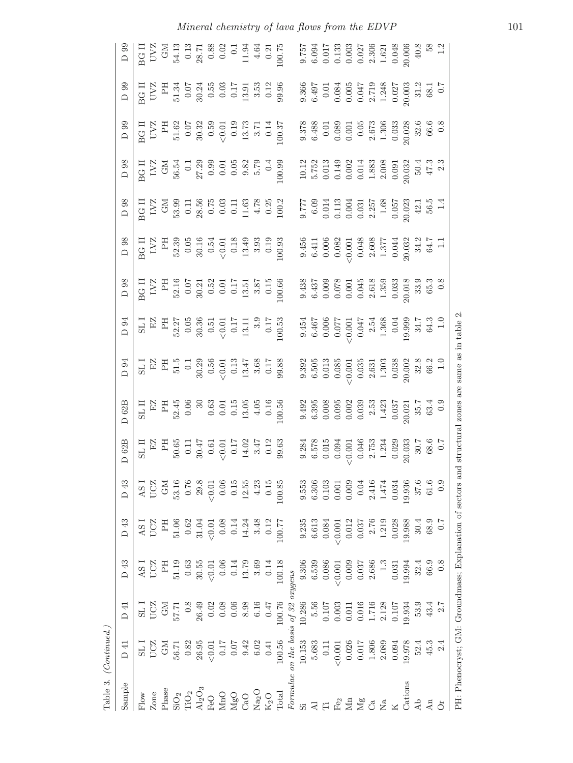| $Sample$ | D 41 | $D$ 41 | $D$ 43 | D 43                                                                                                                                                                                                                                                                                                                                                                                                                                                          | D 43                                                                                                                                                                                                                                                                                                                                                                                                                                                           | D 62B                                                                                                                                                                                                                                                                                                                                                                                                                                                         | 62B                                                                                                                                                                                                                                                                                              | D94                                                                                                                                                                                                                                                                                                     | $\overline{D}$ 94                                                                                                                                                                                                                                                                               | $D_{.98}$                                                                                                                                                         | $\overline{D}$ 98                                                                                                                                                                                                                                                                                                                                                                                          | $\begin{array}{r} 0.98 \\ \hline \text{DG H} \\ \text{BG H} \\ \text{C} \\ \text{D} \\ \text{D} \\ \text{D} \\ \text{D} \\ \text{D} \\ \text{D} \\ \text{D} \\ \text{D} \\ \text{E} \\ \text{D} \\ \text{E} \\ \text{E} \\ \text{E} \\ \text{E} \\ \text{E} \\ \text{E} \\ \text{E} \\ \text{E} \\ \text{E} \\ \text{E} \\ \text{E} \\ \text{E} \\ \text{E} \\ \text{E} \\ \text{E} \\ \text{E} \\ \text{E} \\ \text{E} \\ \text{E} \\ \text{E} \\ \text{$ | $D$ 98                                                                                                                                                                                                                                                                                              | $\overline{D}$ 99                                                                                                                                                                                                                                                                                                                   |                                                                                                                                                                                                                                                                                                                                                                                                                                |                                                                                                                                           |
|----------|------|--------|--------|---------------------------------------------------------------------------------------------------------------------------------------------------------------------------------------------------------------------------------------------------------------------------------------------------------------------------------------------------------------------------------------------------------------------------------------------------------------|----------------------------------------------------------------------------------------------------------------------------------------------------------------------------------------------------------------------------------------------------------------------------------------------------------------------------------------------------------------------------------------------------------------------------------------------------------------|---------------------------------------------------------------------------------------------------------------------------------------------------------------------------------------------------------------------------------------------------------------------------------------------------------------------------------------------------------------------------------------------------------------------------------------------------------------|--------------------------------------------------------------------------------------------------------------------------------------------------------------------------------------------------------------------------------------------------------------------------------------------------|---------------------------------------------------------------------------------------------------------------------------------------------------------------------------------------------------------------------------------------------------------------------------------------------------------|-------------------------------------------------------------------------------------------------------------------------------------------------------------------------------------------------------------------------------------------------------------------------------------------------|-------------------------------------------------------------------------------------------------------------------------------------------------------------------|------------------------------------------------------------------------------------------------------------------------------------------------------------------------------------------------------------------------------------------------------------------------------------------------------------------------------------------------------------------------------------------------------------|------------------------------------------------------------------------------------------------------------------------------------------------------------------------------------------------------------------------------------------------------------------------------------------------------------------------------------------------------------------------------------------------------------------------------------------------------------|-----------------------------------------------------------------------------------------------------------------------------------------------------------------------------------------------------------------------------------------------------------------------------------------------------|-------------------------------------------------------------------------------------------------------------------------------------------------------------------------------------------------------------------------------------------------------------------------------------------------------------------------------------|--------------------------------------------------------------------------------------------------------------------------------------------------------------------------------------------------------------------------------------------------------------------------------------------------------------------------------------------------------------------------------------------------------------------------------|-------------------------------------------------------------------------------------------------------------------------------------------|
|          |      |        |        | $\begin{array}{l} \text{AS I} \\ \text{UCZ} \\ \text{D} \\ \text{D} \\ \text{D} \\ \text{D} \\ \text{D} \\ \text{D} \\ \text{D} \\ \text{D} \\ \text{D} \\ \text{D} \\ \text{D} \\ \text{D} \\ \text{D} \\ \text{D} \\ \text{D} \\ \text{D} \\ \text{D} \\ \text{D} \\ \text{D} \\ \text{D} \\ \text{D} \\ \text{D} \\ \text{D} \\ \text{D} \\ \text{D} \\ \text{D} \\ \text{D} \\ \text{D} \\ \text{D} \\ \text{D} \\ \text{D} \\ \text{D} \\ \text{D} \\ \$ |                                                                                                                                                                                                                                                                                                                                                                                                                                                                |                                                                                                                                                                                                                                                                                                                                                                                                                                                               |                                                                                                                                                                                                                                                                                                  | $\begin{array}{r} \text{SL}1 \\ \text{SL}1 \\ \text{FL} \\ \text{L} \\ \text{S1.5} \\ \text{S2.9} \\ \text{S3.2} \\ \text{S4.3} \\ \text{S5.4} \\ \text{S6.5} \\ \text{S7.6} \\ \text{S8.8} \\ \text{S9.8} \\ \text{S9.8} \\ \text{S9.8} \\ \end{array}$                                                |                                                                                                                                                                                                                                                                                                 |                                                                                                                                                                   | $\begin{array}{r} \n\text{B} \n\text{C} \n\end{array}$ $\begin{array}{r} \n\text{B} \n\text{C} \n\end{array}$ $\begin{array}{r} \n\text{D} \n\text{D} \n\end{array}$ $\begin{array}{r} \n\text{D} \n\text{D} \n\end{array}$ $\begin{array}{r} \n\text{D} \n\text{D} \n\end{array}$ $\begin{array}{r} \n\text{D} \n\text{D} \n\end{array}$ $\begin{array}{r} \n\text{D} \n\text{D} \n\end{array}$ $\begin{$ |                                                                                                                                                                                                                                                                                                                                                                                                                                                            |                                                                                                                                                                                                                                                                                                     | $\begin{array}{l} \rm BG~II\\ \rm BGI~IO~0~0~30~32~0\\ \rm 51.62~0~0~30~33~0\\ \rm 0~0~0~0~12~0\\ \rm 0~0~13~0\\ \rm 0~0~13\\ \rm 0~0~14\\ \rm 0~0\\ \rm 10\\ \rm 0\\ \rm 10\\ \rm 0\\ \rm 10\\ \rm 0\\ \rm 10\\ \rm 0\\ \rm 10\\ \rm 0\\ \rm 10\\ \rm 0\\ \rm 10\\ \rm 0\\ \rm 10\\ \rm 0\\ \rm 10\\ \rm 0\\ \rm 10\\ \rm 0\\ \rm$ | $\begin{array}{l} \rm BG~II\\ \rm BGM\\ \rm DVS\\ \rm H~\stackrel{3}{3},~\stackrel{4}{3},~\stackrel{5}{6},~\stackrel{6}{6},~\stackrel{6}{6},~\stackrel{6}{6},~\stackrel{6}{6},~\stackrel{7}{6},~\stackrel{8}{6},~\stackrel{12}{6},~\stackrel{12}{6},~\stackrel{12}{6},~\stackrel{12}{6},~\stackrel{12}{6},~\stackrel{12}{6},~\stackrel{12}{6},~\stackrel{12}{6},~\stackrel{12}{6},~\stackrel{12}{6},~\stackrel{12}{6},~\stack$ | BG II<br>UVZ<br>UVZ<br>UVA 38, 71<br>58, 71<br>38, 72<br>0.21<br>4.54<br>4.54<br>0.21<br>0.02                                             |
|          |      |        |        |                                                                                                                                                                                                                                                                                                                                                                                                                                                               |                                                                                                                                                                                                                                                                                                                                                                                                                                                                |                                                                                                                                                                                                                                                                                                                                                                                                                                                               |                                                                                                                                                                                                                                                                                                  |                                                                                                                                                                                                                                                                                                         |                                                                                                                                                                                                                                                                                                 |                                                                                                                                                                   |                                                                                                                                                                                                                                                                                                                                                                                                            |                                                                                                                                                                                                                                                                                                                                                                                                                                                            |                                                                                                                                                                                                                                                                                                     |                                                                                                                                                                                                                                                                                                                                     |                                                                                                                                                                                                                                                                                                                                                                                                                                |                                                                                                                                           |
|          |      |        |        |                                                                                                                                                                                                                                                                                                                                                                                                                                                               |                                                                                                                                                                                                                                                                                                                                                                                                                                                                |                                                                                                                                                                                                                                                                                                                                                                                                                                                               |                                                                                                                                                                                                                                                                                                  |                                                                                                                                                                                                                                                                                                         |                                                                                                                                                                                                                                                                                                 |                                                                                                                                                                   |                                                                                                                                                                                                                                                                                                                                                                                                            |                                                                                                                                                                                                                                                                                                                                                                                                                                                            |                                                                                                                                                                                                                                                                                                     |                                                                                                                                                                                                                                                                                                                                     |                                                                                                                                                                                                                                                                                                                                                                                                                                |                                                                                                                                           |
|          |      |        |        |                                                                                                                                                                                                                                                                                                                                                                                                                                                               |                                                                                                                                                                                                                                                                                                                                                                                                                                                                |                                                                                                                                                                                                                                                                                                                                                                                                                                                               |                                                                                                                                                                                                                                                                                                  |                                                                                                                                                                                                                                                                                                         |                                                                                                                                                                                                                                                                                                 |                                                                                                                                                                   |                                                                                                                                                                                                                                                                                                                                                                                                            |                                                                                                                                                                                                                                                                                                                                                                                                                                                            |                                                                                                                                                                                                                                                                                                     |                                                                                                                                                                                                                                                                                                                                     |                                                                                                                                                                                                                                                                                                                                                                                                                                |                                                                                                                                           |
|          |      |        |        |                                                                                                                                                                                                                                                                                                                                                                                                                                                               |                                                                                                                                                                                                                                                                                                                                                                                                                                                                |                                                                                                                                                                                                                                                                                                                                                                                                                                                               |                                                                                                                                                                                                                                                                                                  |                                                                                                                                                                                                                                                                                                         |                                                                                                                                                                                                                                                                                                 |                                                                                                                                                                   |                                                                                                                                                                                                                                                                                                                                                                                                            |                                                                                                                                                                                                                                                                                                                                                                                                                                                            |                                                                                                                                                                                                                                                                                                     |                                                                                                                                                                                                                                                                                                                                     |                                                                                                                                                                                                                                                                                                                                                                                                                                |                                                                                                                                           |
|          |      |        |        |                                                                                                                                                                                                                                                                                                                                                                                                                                                               | $\begin{array}{l} \text{AS I} \\ \text{UCZ} \\ \text{CVA} \\ \text{GAP} \\ \text{GSP} \\ \text{GSP} \\ \text{GSP} \\ \text{GSP} \\ \text{GSP} \\ \text{GSP} \\ \text{GSP} \\ \text{GSP} \\ \text{GSP} \\ \text{GSP} \\ \text{GSP} \\ \text{GSP} \\ \text{GSP} \\ \text{GSP} \\ \text{GSP} \\ \text{GSP} \\ \text{GSP} \\ \text{GSP} \\ \text{GSP} \\ \text{GSP} \\ \text{GSP} \\ \text{GSP} \\ \text{GSP} \\ \text{GSP} \\ \text{GSP} \\ \text{GSP} \\ \text{$ | $\begin{array}{r} \text{SL} \text{ H} \\ \text{SL} \text{ H} \\ \text{H} \\ \text{H} \\ \text{H} \\ \text{H} \\ \text{H} \\ \text{H} \\ \text{H} \\ \text{H} \\ \text{H} \\ \text{H} \\ \text{H} \\ \text{H} \\ \text{H} \\ \text{H} \\ \text{H} \\ \text{H} \\ \text{H} \\ \text{H} \\ \text{H} \\ \text{H} \\ \text{H} \\ \text{H} \\ \text{H} \\ \text{H} \\ \text{H} \\ \text{H} \\ \text{H} \\ \text{H} \\ \text{H} \\ \text{H} \\ \text{H} \\ \text{H}$ | $SL$ II<br>$ES$ II $\frac{1}{2}$<br>$12$ II $13$<br>$13$<br>$15$<br>$15$<br>$15$<br>$15$<br>$15$<br>$15$<br>$15$<br>$15$<br>$15$<br>$15$<br>$15$<br>$15$<br>$15$<br>$15$<br>$15$<br>$15$<br>$15$<br>$15$<br>$15$<br>$15$<br>$15$<br>$15$<br>$15$<br>$15$<br>$15$<br>$15$<br>$15$<br>$15$<br>$15$ |                                                                                                                                                                                                                                                                                                         |                                                                                                                                                                                                                                                                                                 |                                                                                                                                                                   |                                                                                                                                                                                                                                                                                                                                                                                                            |                                                                                                                                                                                                                                                                                                                                                                                                                                                            |                                                                                                                                                                                                                                                                                                     |                                                                                                                                                                                                                                                                                                                                     |                                                                                                                                                                                                                                                                                                                                                                                                                                |                                                                                                                                           |
|          |      |        |        |                                                                                                                                                                                                                                                                                                                                                                                                                                                               |                                                                                                                                                                                                                                                                                                                                                                                                                                                                |                                                                                                                                                                                                                                                                                                                                                                                                                                                               |                                                                                                                                                                                                                                                                                                  |                                                                                                                                                                                                                                                                                                         |                                                                                                                                                                                                                                                                                                 |                                                                                                                                                                   |                                                                                                                                                                                                                                                                                                                                                                                                            |                                                                                                                                                                                                                                                                                                                                                                                                                                                            |                                                                                                                                                                                                                                                                                                     |                                                                                                                                                                                                                                                                                                                                     |                                                                                                                                                                                                                                                                                                                                                                                                                                |                                                                                                                                           |
|          |      |        |        |                                                                                                                                                                                                                                                                                                                                                                                                                                                               |                                                                                                                                                                                                                                                                                                                                                                                                                                                                |                                                                                                                                                                                                                                                                                                                                                                                                                                                               |                                                                                                                                                                                                                                                                                                  |                                                                                                                                                                                                                                                                                                         |                                                                                                                                                                                                                                                                                                 |                                                                                                                                                                   |                                                                                                                                                                                                                                                                                                                                                                                                            |                                                                                                                                                                                                                                                                                                                                                                                                                                                            |                                                                                                                                                                                                                                                                                                     |                                                                                                                                                                                                                                                                                                                                     |                                                                                                                                                                                                                                                                                                                                                                                                                                |                                                                                                                                           |
|          |      |        |        |                                                                                                                                                                                                                                                                                                                                                                                                                                                               |                                                                                                                                                                                                                                                                                                                                                                                                                                                                |                                                                                                                                                                                                                                                                                                                                                                                                                                                               |                                                                                                                                                                                                                                                                                                  |                                                                                                                                                                                                                                                                                                         |                                                                                                                                                                                                                                                                                                 |                                                                                                                                                                   |                                                                                                                                                                                                                                                                                                                                                                                                            |                                                                                                                                                                                                                                                                                                                                                                                                                                                            |                                                                                                                                                                                                                                                                                                     |                                                                                                                                                                                                                                                                                                                                     |                                                                                                                                                                                                                                                                                                                                                                                                                                |                                                                                                                                           |
|          |      |        |        |                                                                                                                                                                                                                                                                                                                                                                                                                                                               |                                                                                                                                                                                                                                                                                                                                                                                                                                                                |                                                                                                                                                                                                                                                                                                                                                                                                                                                               |                                                                                                                                                                                                                                                                                                  |                                                                                                                                                                                                                                                                                                         |                                                                                                                                                                                                                                                                                                 |                                                                                                                                                                   |                                                                                                                                                                                                                                                                                                                                                                                                            |                                                                                                                                                                                                                                                                                                                                                                                                                                                            |                                                                                                                                                                                                                                                                                                     |                                                                                                                                                                                                                                                                                                                                     |                                                                                                                                                                                                                                                                                                                                                                                                                                |                                                                                                                                           |
|          |      |        |        |                                                                                                                                                                                                                                                                                                                                                                                                                                                               |                                                                                                                                                                                                                                                                                                                                                                                                                                                                |                                                                                                                                                                                                                                                                                                                                                                                                                                                               |                                                                                                                                                                                                                                                                                                  |                                                                                                                                                                                                                                                                                                         |                                                                                                                                                                                                                                                                                                 |                                                                                                                                                                   |                                                                                                                                                                                                                                                                                                                                                                                                            |                                                                                                                                                                                                                                                                                                                                                                                                                                                            |                                                                                                                                                                                                                                                                                                     |                                                                                                                                                                                                                                                                                                                                     |                                                                                                                                                                                                                                                                                                                                                                                                                                |                                                                                                                                           |
|          |      |        |        |                                                                                                                                                                                                                                                                                                                                                                                                                                                               |                                                                                                                                                                                                                                                                                                                                                                                                                                                                |                                                                                                                                                                                                                                                                                                                                                                                                                                                               |                                                                                                                                                                                                                                                                                                  |                                                                                                                                                                                                                                                                                                         |                                                                                                                                                                                                                                                                                                 |                                                                                                                                                                   |                                                                                                                                                                                                                                                                                                                                                                                                            |                                                                                                                                                                                                                                                                                                                                                                                                                                                            |                                                                                                                                                                                                                                                                                                     |                                                                                                                                                                                                                                                                                                                                     |                                                                                                                                                                                                                                                                                                                                                                                                                                |                                                                                                                                           |
|          |      |        |        |                                                                                                                                                                                                                                                                                                                                                                                                                                                               |                                                                                                                                                                                                                                                                                                                                                                                                                                                                |                                                                                                                                                                                                                                                                                                                                                                                                                                                               |                                                                                                                                                                                                                                                                                                  |                                                                                                                                                                                                                                                                                                         |                                                                                                                                                                                                                                                                                                 |                                                                                                                                                                   |                                                                                                                                                                                                                                                                                                                                                                                                            |                                                                                                                                                                                                                                                                                                                                                                                                                                                            |                                                                                                                                                                                                                                                                                                     |                                                                                                                                                                                                                                                                                                                                     |                                                                                                                                                                                                                                                                                                                                                                                                                                |                                                                                                                                           |
|          |      |        |        |                                                                                                                                                                                                                                                                                                                                                                                                                                                               |                                                                                                                                                                                                                                                                                                                                                                                                                                                                |                                                                                                                                                                                                                                                                                                                                                                                                                                                               |                                                                                                                                                                                                                                                                                                  |                                                                                                                                                                                                                                                                                                         |                                                                                                                                                                                                                                                                                                 |                                                                                                                                                                   |                                                                                                                                                                                                                                                                                                                                                                                                            |                                                                                                                                                                                                                                                                                                                                                                                                                                                            |                                                                                                                                                                                                                                                                                                     |                                                                                                                                                                                                                                                                                                                                     |                                                                                                                                                                                                                                                                                                                                                                                                                                |                                                                                                                                           |
|          |      |        |        | $\begin{array}{l} 9.235 \\ 6.613 \\ 6.004 \\ 0.004 \\ 0.012 \\ 0.01 \\ 0.023 \\ 0.024 \\ 1.219 \\ 0.028 \\ 0.038 \\ 0.4 \\ 30.4 \\ 30.4 \\ 30.5 \\ 90 \\ 10.98 \\ 90 \\ 4 \end{array}$                                                                                                                                                                                                                                                                        | 9.553<br>6.306<br>6.000 0.000<br>0.000 0.000<br>0.033<br>1.474<br>1.474<br>0.0336<br>37.6<br>61.6                                                                                                                                                                                                                                                                                                                                                              |                                                                                                                                                                                                                                                                                                                                                                                                                                                               |                                                                                                                                                                                                                                                                                                  |                                                                                                                                                                                                                                                                                                         |                                                                                                                                                                                                                                                                                                 |                                                                                                                                                                   |                                                                                                                                                                                                                                                                                                                                                                                                            |                                                                                                                                                                                                                                                                                                                                                                                                                                                            |                                                                                                                                                                                                                                                                                                     |                                                                                                                                                                                                                                                                                                                                     |                                                                                                                                                                                                                                                                                                                                                                                                                                |                                                                                                                                           |
|          |      |        |        |                                                                                                                                                                                                                                                                                                                                                                                                                                                               |                                                                                                                                                                                                                                                                                                                                                                                                                                                                | $\begin{array}{r} 9.234\\ 9.578\\ 6.578\\ 0.011\\ 0.004\\ 0.004\\ 0.004\\ 0.003\\ 0.003\\ 0.003\\ 0.003\\ 0.003\\ 0.003\\ 0.003\\ 0.003\\ 0.003\\ 0.003\\ 0.003\\ 0.003\\ 0.003\\ 0.003\\ 0.003\\ 0.003\\ 0.003\\ 0.003\\ 0.003\\ 0.003\\ 0.003\\ 0.003\\ 0.003\\ 0.$                                                                                                                                                                                         | 9.492<br>6.395<br>6.000 0.002<br>0.003<br>0.003<br>1.423<br>0.0021<br>35.7<br>35.7<br>35.7<br>35.7<br>35.7<br>35.4<br>30.0021                                                                                                                                                                    | $\begin{array}{r} 93.392 \\ 0.505 \\ 0.013 \\ 0.085 \\ 0.008 \\ 0.003 \\ 0.003 \\ 0.003 \\ 0.003 \\ 0.003 \\ 0.003 \\ 0.003 \\ 0.003 \\ 0.003 \\ 0.003 \\ 0.003 \\ 0.003 \\ 0.01 \\ 0.01 \\ 0.01 \\ 0.01 \\ 0.01 \\ 0.01 \\ 0.01 \\ 0.01 \\ 0.01 \\ 0.01 \\ 0.01 \\ 0.01 \\ 0.01 \\ 0.01 \\ 0.01 \\ 0.$ | 9.454<br>6.467<br>6.000 0.077<br>6.000 0.047<br>7.548<br>7.388<br>7.388<br>7.388<br>7.38<br>7.38<br>7.38<br>7.38<br>7.38<br>7.38<br>7.38<br>7.38<br>7.38<br>7.38<br>7.38<br>7.38<br>7.38<br>7.38<br>7.39<br>7.39<br>7.39<br>7.39<br>7.39<br>7.39<br>7.39<br>7.39<br>7.39<br>7.39<br>7.39<br>7.3 | $\begin{array}{l} 33,433\\ 6,437\\ 6,000\\ 0&0.07\\ 0&0.01\\ 0&0.01\\ 0&0.01\\ 0&0.03\\ 0&0.03\\ 0&0.03\\ 0&0.03\\ 0&0.03\\ 0&0.03\\ 0&0.8\\ 0&0.8\\ \end{array}$ | 9.456<br>6.411<br>6.000 0.000 0.000<br>6.000 0.000 0.000<br>7.77<br>7.11<br>7.11<br>7.11<br>7.11<br>7.11<br>7.11<br>7.11                                                                                                                                                                                                                                                                                   | 9.777<br>6.03<br>6.03<br>6.03<br>6.03<br>6.03<br>7.42<br>56.5<br>7.42<br>56.5<br>7.42<br>56.5                                                                                                                                                                                                                                                                                                                                                              | $\begin{array}{l} 10.11 \\ 10.13 \\ 5.752 \\ 0.013 \\ 0.014 \\ 0.000 \\ 0.014 \\ 0.000 \\ 0.000 \\ 0.000 \\ 0.001 \\ 0.001 \\ 0.001 \\ 0.014 \\ 0.000 \\ 0.014 \\ 0.014 \\ 0.014 \\ 0.014 \\ 0.014 \\ 0.014 \\ 0.000 \\ 0.001 \\ 0.001 \\ 0.001 \\ 0.001 \\ 0.001 \\ 0.001 \\ 0.001 \\ 0.001 \\ 0.$ | $\begin{array}{r} 9.378 \\ 6.488 \\ 6.01 \\ 0.03 \\ 0.00 \\ 0.01 \\ 0.03 \\ 0.01 \\ 0.03 \\ 0.03 \\ 0.03 \\ 0.03 \\ 0.03 \\ 0.03 \\ 0.03 \\ 0.03 \\ 0.03 \\ 0.03 \\ 0.03 \\ \end{array}$                                                                                                                                            | $\begin{array}{r} 9.366 \\ 6.497 \\ 0.011 \\ 0.084 \\ 0.065 \\ 0.047 \\ 2.719 \\ 0.027 \\ 0.037 \\ 0.037 \\ 0.031 \\ 31.2 \\ 68.1 \\ 31.2 \\ 68.1 \\ \end{array}$                                                                                                                                                                                                                                                              | 9.757<br>$6.094$<br>$0.017$<br>$0.003$<br>$0.003$<br>$0.003$<br>$0.048$<br>$0.048$<br>$0.048$<br>$0.048$<br>$0.048$<br>$0.048$<br>$0.048$ |
|          |      |        |        |                                                                                                                                                                                                                                                                                                                                                                                                                                                               |                                                                                                                                                                                                                                                                                                                                                                                                                                                                |                                                                                                                                                                                                                                                                                                                                                                                                                                                               |                                                                                                                                                                                                                                                                                                  |                                                                                                                                                                                                                                                                                                         |                                                                                                                                                                                                                                                                                                 |                                                                                                                                                                   |                                                                                                                                                                                                                                                                                                                                                                                                            |                                                                                                                                                                                                                                                                                                                                                                                                                                                            |                                                                                                                                                                                                                                                                                                     |                                                                                                                                                                                                                                                                                                                                     |                                                                                                                                                                                                                                                                                                                                                                                                                                |                                                                                                                                           |
|          |      |        |        |                                                                                                                                                                                                                                                                                                                                                                                                                                                               |                                                                                                                                                                                                                                                                                                                                                                                                                                                                |                                                                                                                                                                                                                                                                                                                                                                                                                                                               |                                                                                                                                                                                                                                                                                                  |                                                                                                                                                                                                                                                                                                         |                                                                                                                                                                                                                                                                                                 |                                                                                                                                                                   |                                                                                                                                                                                                                                                                                                                                                                                                            |                                                                                                                                                                                                                                                                                                                                                                                                                                                            |                                                                                                                                                                                                                                                                                                     |                                                                                                                                                                                                                                                                                                                                     |                                                                                                                                                                                                                                                                                                                                                                                                                                |                                                                                                                                           |
|          |      |        |        |                                                                                                                                                                                                                                                                                                                                                                                                                                                               |                                                                                                                                                                                                                                                                                                                                                                                                                                                                |                                                                                                                                                                                                                                                                                                                                                                                                                                                               |                                                                                                                                                                                                                                                                                                  |                                                                                                                                                                                                                                                                                                         |                                                                                                                                                                                                                                                                                                 |                                                                                                                                                                   |                                                                                                                                                                                                                                                                                                                                                                                                            |                                                                                                                                                                                                                                                                                                                                                                                                                                                            |                                                                                                                                                                                                                                                                                                     |                                                                                                                                                                                                                                                                                                                                     |                                                                                                                                                                                                                                                                                                                                                                                                                                |                                                                                                                                           |
|          |      |        |        |                                                                                                                                                                                                                                                                                                                                                                                                                                                               |                                                                                                                                                                                                                                                                                                                                                                                                                                                                |                                                                                                                                                                                                                                                                                                                                                                                                                                                               |                                                                                                                                                                                                                                                                                                  |                                                                                                                                                                                                                                                                                                         |                                                                                                                                                                                                                                                                                                 |                                                                                                                                                                   |                                                                                                                                                                                                                                                                                                                                                                                                            |                                                                                                                                                                                                                                                                                                                                                                                                                                                            |                                                                                                                                                                                                                                                                                                     |                                                                                                                                                                                                                                                                                                                                     |                                                                                                                                                                                                                                                                                                                                                                                                                                |                                                                                                                                           |
|          |      |        |        |                                                                                                                                                                                                                                                                                                                                                                                                                                                               |                                                                                                                                                                                                                                                                                                                                                                                                                                                                |                                                                                                                                                                                                                                                                                                                                                                                                                                                               |                                                                                                                                                                                                                                                                                                  |                                                                                                                                                                                                                                                                                                         |                                                                                                                                                                                                                                                                                                 |                                                                                                                                                                   |                                                                                                                                                                                                                                                                                                                                                                                                            |                                                                                                                                                                                                                                                                                                                                                                                                                                                            |                                                                                                                                                                                                                                                                                                     |                                                                                                                                                                                                                                                                                                                                     |                                                                                                                                                                                                                                                                                                                                                                                                                                |                                                                                                                                           |
|          |      |        |        |                                                                                                                                                                                                                                                                                                                                                                                                                                                               |                                                                                                                                                                                                                                                                                                                                                                                                                                                                |                                                                                                                                                                                                                                                                                                                                                                                                                                                               |                                                                                                                                                                                                                                                                                                  |                                                                                                                                                                                                                                                                                                         |                                                                                                                                                                                                                                                                                                 |                                                                                                                                                                   |                                                                                                                                                                                                                                                                                                                                                                                                            |                                                                                                                                                                                                                                                                                                                                                                                                                                                            |                                                                                                                                                                                                                                                                                                     |                                                                                                                                                                                                                                                                                                                                     |                                                                                                                                                                                                                                                                                                                                                                                                                                |                                                                                                                                           |
|          |      |        |        |                                                                                                                                                                                                                                                                                                                                                                                                                                                               |                                                                                                                                                                                                                                                                                                                                                                                                                                                                |                                                                                                                                                                                                                                                                                                                                                                                                                                                               |                                                                                                                                                                                                                                                                                                  |                                                                                                                                                                                                                                                                                                         |                                                                                                                                                                                                                                                                                                 |                                                                                                                                                                   |                                                                                                                                                                                                                                                                                                                                                                                                            |                                                                                                                                                                                                                                                                                                                                                                                                                                                            |                                                                                                                                                                                                                                                                                                     |                                                                                                                                                                                                                                                                                                                                     |                                                                                                                                                                                                                                                                                                                                                                                                                                |                                                                                                                                           |
|          |      |        |        |                                                                                                                                                                                                                                                                                                                                                                                                                                                               |                                                                                                                                                                                                                                                                                                                                                                                                                                                                |                                                                                                                                                                                                                                                                                                                                                                                                                                                               |                                                                                                                                                                                                                                                                                                  |                                                                                                                                                                                                                                                                                                         |                                                                                                                                                                                                                                                                                                 |                                                                                                                                                                   |                                                                                                                                                                                                                                                                                                                                                                                                            |                                                                                                                                                                                                                                                                                                                                                                                                                                                            |                                                                                                                                                                                                                                                                                                     |                                                                                                                                                                                                                                                                                                                                     |                                                                                                                                                                                                                                                                                                                                                                                                                                |                                                                                                                                           |
|          |      |        |        |                                                                                                                                                                                                                                                                                                                                                                                                                                                               |                                                                                                                                                                                                                                                                                                                                                                                                                                                                |                                                                                                                                                                                                                                                                                                                                                                                                                                                               |                                                                                                                                                                                                                                                                                                  |                                                                                                                                                                                                                                                                                                         |                                                                                                                                                                                                                                                                                                 |                                                                                                                                                                   |                                                                                                                                                                                                                                                                                                                                                                                                            |                                                                                                                                                                                                                                                                                                                                                                                                                                                            |                                                                                                                                                                                                                                                                                                     |                                                                                                                                                                                                                                                                                                                                     |                                                                                                                                                                                                                                                                                                                                                                                                                                |                                                                                                                                           |
|          |      |        |        |                                                                                                                                                                                                                                                                                                                                                                                                                                                               |                                                                                                                                                                                                                                                                                                                                                                                                                                                                |                                                                                                                                                                                                                                                                                                                                                                                                                                                               |                                                                                                                                                                                                                                                                                                  |                                                                                                                                                                                                                                                                                                         |                                                                                                                                                                                                                                                                                                 |                                                                                                                                                                   |                                                                                                                                                                                                                                                                                                                                                                                                            |                                                                                                                                                                                                                                                                                                                                                                                                                                                            |                                                                                                                                                                                                                                                                                                     |                                                                                                                                                                                                                                                                                                                                     |                                                                                                                                                                                                                                                                                                                                                                                                                                |                                                                                                                                           |
|          |      |        |        | $-7.0$                                                                                                                                                                                                                                                                                                                                                                                                                                                        | $\ddot{0}$ :0                                                                                                                                                                                                                                                                                                                                                                                                                                                  |                                                                                                                                                                                                                                                                                                                                                                                                                                                               |                                                                                                                                                                                                                                                                                                  |                                                                                                                                                                                                                                                                                                         |                                                                                                                                                                                                                                                                                                 |                                                                                                                                                                   |                                                                                                                                                                                                                                                                                                                                                                                                            |                                                                                                                                                                                                                                                                                                                                                                                                                                                            |                                                                                                                                                                                                                                                                                                     |                                                                                                                                                                                                                                                                                                                                     |                                                                                                                                                                                                                                                                                                                                                                                                                                |                                                                                                                                           |
|          |      |        |        |                                                                                                                                                                                                                                                                                                                                                                                                                                                               |                                                                                                                                                                                                                                                                                                                                                                                                                                                                |                                                                                                                                                                                                                                                                                                                                                                                                                                                               |                                                                                                                                                                                                                                                                                                  |                                                                                                                                                                                                                                                                                                         |                                                                                                                                                                                                                                                                                                 |                                                                                                                                                                   |                                                                                                                                                                                                                                                                                                                                                                                                            |                                                                                                                                                                                                                                                                                                                                                                                                                                                            |                                                                                                                                                                                                                                                                                                     |                                                                                                                                                                                                                                                                                                                                     |                                                                                                                                                                                                                                                                                                                                                                                                                                |                                                                                                                                           |

Table 3. (Continued.)

Table 3. (Continued.)

PH: Phenocryst; GM: Groundmass; Explanation of sectors and structural zones are same as in table 2. PH: Phenocryst; GM: Groundmass; Explanation of sectors and structural zones are same as in table 2.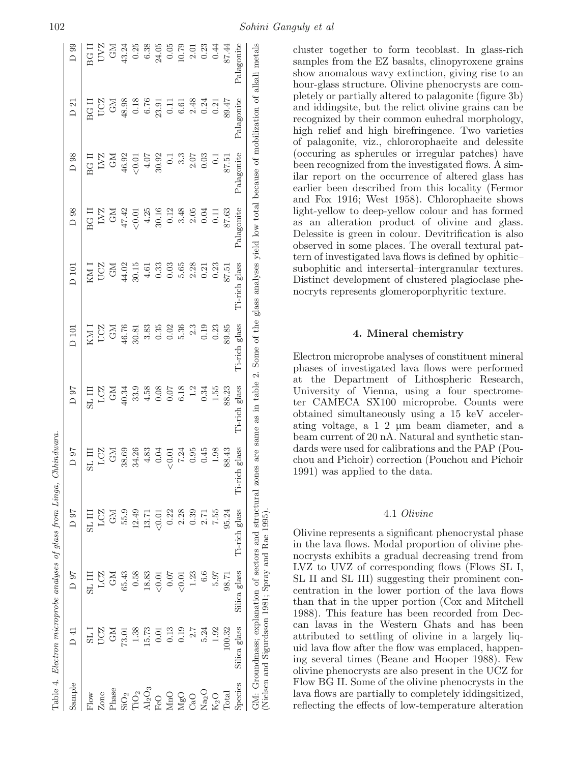|                   |              |                 | Table 4. Electron microprobe analyses of glass from Linga, Chhindwara.                                                                                                  |                    |                                                                         |                                          |               |                                                                               |                     |                                                      |            |
|-------------------|--------------|-----------------|-------------------------------------------------------------------------------------------------------------------------------------------------------------------------|--------------------|-------------------------------------------------------------------------|------------------------------------------|---------------|-------------------------------------------------------------------------------|---------------------|------------------------------------------------------|------------|
| Sample            | D 41         | D <sub>97</sub> | <b>D</b> 97                                                                                                                                                             | D 97               | <b>16 C</b>                                                             | D <sub>101</sub>                         | D 101         | D.98                                                                          | D 98                | D <sub>21</sub>                                      | $D$ 99     |
| Flow              | 11S          | SL III          | SL III                                                                                                                                                                  | SL III             |                                                                         | ENZI                                     | EM            | BG II                                                                         | BG II               | BG II                                                | BG II      |
| Zone              | UCZ          | LCZ             | LCZ                                                                                                                                                                     |                    |                                                                         | UCZ                                      | UCZ           |                                                                               | LVZ                 | UCZ                                                  | <b>LAA</b> |
| Phase             | š            | $\mathbb{R}^2$  | ΣS<br>Ο                                                                                                                                                                 | $L{\rm CZ}$ GM     | $\begin{array}{l} \text{SL III} \\ \text{LCZ} \\ \text{GM} \end{array}$ | $_{\rm GN}^{\rm GM}$ $_{\rm M5}^{\rm H}$ | GM<br>44.02   | $\begin{array}{c} \rm{LVZ} \\ \rm{GM} \\ \rm{47.42} \\ \rm{0.01} \end{array}$ | GM                  | GM                                                   | <b>CM</b>  |
| SiO <sub>2</sub>  | 73.01        | 65.43           | 55.9                                                                                                                                                                    |                    | 10.34                                                                   |                                          |               |                                                                               | $46.92$<br>$< 0.01$ | 48.98                                                | 43.24      |
| $\Gamma$ iO2      | 1.38         | 0.58            | 12.49                                                                                                                                                                   | $38.69$<br>$34.26$ | 33.9                                                                    | 30.81                                    | $30.15\,$     |                                                                               |                     |                                                      | 0.25       |
| $\rm Al_2O_3$     | 15.73        | 18.83           | 13.71                                                                                                                                                                   | 4.83               | 4.58                                                                    |                                          | 4.61          | 4.25                                                                          | 4.07                | $\begin{array}{c} 0.18 \\ 6.76 \end{array}$          | 6.38       |
| FeO               | 0.01         | (0.01)          | (0.01)                                                                                                                                                                  | 0.04               | $0.08$<br>$0.07$<br>$0.18$                                              | $3.83$<br>$0.35$                         | 0.33          | 30.16                                                                         | 30.92               |                                                      | 24.05      |
| MnO               | 0.13         | 0.07            | 0.22                                                                                                                                                                    | (0.01)             |                                                                         | 0.02                                     | 0.03          |                                                                               |                     | $\begin{array}{c} 23.91 \\ 0.11 \\ 6.61 \end{array}$ | 0.05       |
| MgO               | 0.19         | < 0.01          | 2.28                                                                                                                                                                    | 7.24               |                                                                         | 5.36                                     | 5.65          | $0.12$<br>$3.48$<br>$2.05$<br>$0.04$                                          | $\frac{1}{3}$ .3    |                                                      | $10.79\,$  |
| CaO               | 2.7          | 1.23            | 0.39                                                                                                                                                                    | 0.95               | 1.2                                                                     | $2.3\,$                                  | 2.28          |                                                                               | $2.07$              | 2.48                                                 | $2.01\,$   |
| Na <sub>2</sub> O | 5.24         | 6.6             | 2.71                                                                                                                                                                    | 0.45               | 0.34                                                                    | 0.19                                     | 0.21          |                                                                               | 0.03                | 0.24                                                 | 0.23       |
| $K_2O$            | 1.92         | 5.67            | 7.55                                                                                                                                                                    | 1.98               | 1.55                                                                    | 0.23                                     | 0.23          | 0.11                                                                          | $\overline{0}$ .    | 0.21                                                 | 0.44       |
| Total             | 100.32       | 98.71           | 95.24                                                                                                                                                                   | 88.43              | 88.23                                                                   | 89.85                                    | 87.51         | 87.63                                                                         | 87.51               | 89.47                                                | 87.44      |
| Species           | Silica glass | Silica glass    | Ti-rich glass                                                                                                                                                           | glass<br>Ti-rich   | Ti-rich glass                                                           | Ti-rich glass                            | Ti-rich glass | Palagonite                                                                    | Palagonite          | Palagonite                                           | Palagonite |
|                   |              |                 | GM: Groundmass; explanation of sectors and structural zones are same as in table 2. Some of the glass analyses yield low total because of mobilization of alkali metals |                    |                                                                         |                                          |               |                                                                               |                     |                                                      |            |

cluster together to form tecoblast. In glass-rich samples from the EZ basalts, clinopyroxene grains show anomalous wavy extinction, giving rise to an hour-glass structure. Olivine phenocrysts are completely or partially altered to palagonite (figure 3b) and iddingsite, but the relict olivine grains can be recognized by their common euhedral morphology, high relief and high birefringence. Two varieties of palagonite, viz., chlororophaeite and delessite (occuring as spherules or irregular patches) have been recognized from the investigated flows. A similar report on the occurrence of altered glass has earlier been described from this locality (Fermor and Fox 1916; West 1958). Chlorophaeite shows light-yellow to deep-yellow colour and has formed as an alteration product of olivine and glass. Delessite is green in colour. Devitrification is also observed in some places. The overall textural pattern of investigated lava flows is defined by ophitic– subophitic and intersertal–intergranular textures. Distinct development of clustered plagioclase phenocryts represents glomeroporphyritic texture.

### **4. Mineral chemistry**

Electron microprobe analyses of constituent mineral phases of investigated lava flows were performed at the Department of Lithospheric Research, University of Vienna, using a four spectrometer CAMECA SX100 microprobe. Counts were obtained simultaneously using a 15 keV accelerating voltage, a  $1-2$   $\mu$ m beam diameter, and a beam current of 20 nA. Natural and synthetic standards were used for calibrations and the PAP (Pouchou and Pichoir) correction (Pouchou and Pichoir 1991) was applied to the data.

## 4.1 Olivine

Olivine represents a significant phenocrystal phase in the lava flows. Modal proportion of olivine phenocrysts exhibits a gradual decreasing trend from LVZ to UVZ of corresponding flows (Flows SL I, SL II and SL III) suggesting their prominent concentration in the lower portion of the lava flows than that in the upper portion (Cox and Mitchell 1988). This feature has been recorded from Deccan lavas in the Western Ghats and has been attributed to settling of olivine in a largely liquid lava flow after the flow was emplaced, happening several times (Beane and Hooper 1988). Few olivine phenocrysts are also present in the UCZ for Flow BG II. Some of the olivine phenocrysts in the lava flows are partially to completely iddingsitized, reflecting the effects of low-temperature alteration

(Nielsen and Sigurdsson 1981; Spray and Rae 1995).

Nielsen and Sigurdsson 1981; Spray and Rae 1995)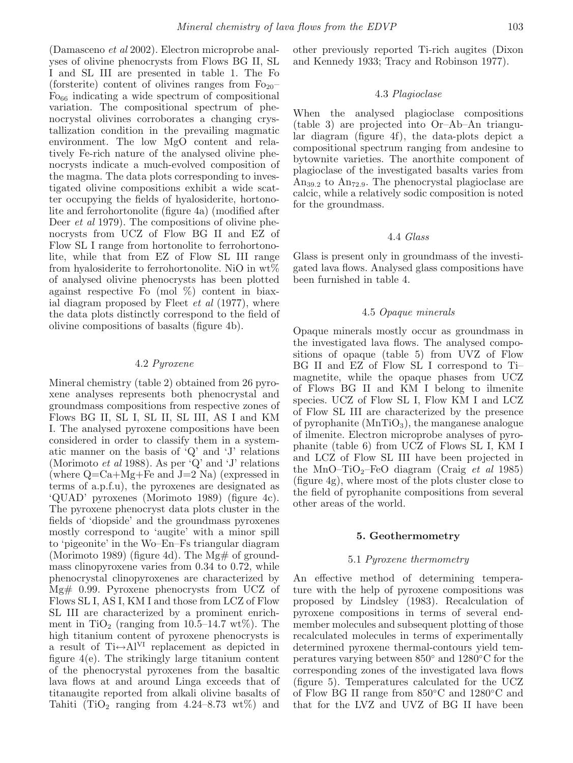(Damasceno et al 2002). Electron microprobe analyses of olivine phenocrysts from Flows BG II, SL I and SL III are presented in table 1. The Fo (forsterite) content of olivines ranges from  $F_{\text{O}_{20}^-}$  $F<sub>066</sub>$  indicating a wide spectrum of compositional variation. The compositional spectrum of phenocrystal olivines corroborates a changing crystallization condition in the prevailing magmatic environment. The low MgO content and relatively Fe-rich nature of the analysed olivine phenocrysts indicate a much-evolved composition of the magma. The data plots corresponding to investigated olivine compositions exhibit a wide scatter occupying the fields of hyalosiderite, hortonolite and ferrohortonolite (figure 4a) (modified after Deer *et al* 1979). The compositions of olivine phenocrysts from UCZ of Flow BG II and EZ of Flow SL I range from hortonolite to ferrohortonolite, while that from EZ of Flow SL III range from hyalosiderite to ferrohortonolite. NiO in  $\rm wt\%$ of analysed olivine phenocrysts has been plotted against respective Fo (mol %) content in biaxial diagram proposed by Fleet  $et \, al \, (1977)$ , where the data plots distinctly correspond to the field of olivine compositions of basalts (figure 4b).

### 4.2 Pyroxene

Mineral chemistry (table 2) obtained from 26 pyroxene analyses represents both phenocrystal and groundmass compositions from respective zones of Flows BG II, SL I, SL II, SL III, AS I and KM I. The analysed pyroxene compositions have been considered in order to classify them in a systematic manner on the basis of 'Q' and 'J' relations (Morimoto et al 1988). As per 'Q' and 'J' relations (where  $Q=Ca+Mg+Fe$  and  $J=2$  Na) (expressed in terms of a.p.f.u), the pyroxenes are designated as 'QUAD' pyroxenes (Morimoto 1989) (figure 4c). The pyroxene phenocryst data plots cluster in the fields of 'diopside' and the groundmass pyroxenes mostly correspond to 'augite' with a minor spill to 'pigeonite' in the Wo–En–Fs triangular diagram (Morimoto 1989) (figure 4d). The Mg# of groundmass clinopyroxene varies from 0.34 to 0.72, while phenocrystal clinopyroxenes are characterized by Mg# 0.99. Pyroxene phenocrysts from UCZ of Flows SL I, AS I, KM I and those from LCZ of Flow SL III are characterized by a prominent enrichment in TiO<sub>2</sub> (ranging from 10.5–14.7 wt%). The high titanium content of pyroxene phenocrysts is a result of  $Ti \leftrightarrow Al<sup>VI</sup>$  replacement as depicted in figure 4(e). The strikingly large titanium content of the phenocrystal pyroxenes from the basaltic lava flows at and around Linga exceeds that of titanaugite reported from alkali olivine basalts of Tahiti (TiO<sub>2</sub> ranging from  $4.24-8.73$  wt%) and other previously reported Ti-rich augites (Dixon and Kennedy 1933; Tracy and Robinson 1977).

### 4.3 Plagioclase

When the analysed plagioclase compositions (table 3) are projected into Or–Ab–An triangular diagram (figure 4f), the data-plots depict a compositional spectrum ranging from andesine to bytownite varieties. The anorthite component of plagioclase of the investigated basalts varies from  $\rm{An}_{39.2}$  to  $\rm{An}_{72.9}$ . The phenocrystal plagioclase are calcic, while a relatively sodic composition is noted for the groundmass.

# 4.4 Glass

Glass is present only in groundmass of the investigated lava flows. Analysed glass compositions have been furnished in table 4.

### 4.5 Opaque minerals

Opaque minerals mostly occur as groundmass in the investigated lava flows. The analysed compositions of opaque (table 5) from UVZ of Flow BG II and EZ of Flow SL I correspond to Ti– magnetite, while the opaque phases from UCZ of Flows BG II and KM I belong to ilmenite species. UCZ of Flow SL I, Flow KM I and LCZ of Flow SL III are characterized by the presence of pyrophanite  $(MnTiO<sub>3</sub>)$ , the manganese analogue of ilmenite. Electron microprobe analyses of pyrophanite (table 6) from UCZ of Flows SL I, KM I and LCZ of Flow SL III have been projected in the MnO–TiO<sub>2</sub>–FeO diagram (Craig *et al* 1985) (figure 4g), where most of the plots cluster close to the field of pyrophanite compositions from several other areas of the world.

### **5. Geothermometry**

### 5.1 Pyroxene thermometry

An effective method of determining temperature with the help of pyroxene compositions was proposed by Lindsley (1983). Recalculation of pyroxene compositions in terms of several endmember molecules and subsequent plotting of those recalculated molecules in terms of experimentally determined pyroxene thermal-contours yield temperatures varying between 850◦ and 1280◦C for the corresponding zones of the investigated lava flows (figure 5). Temperatures calculated for the UCZ of Flow BG II range from 850◦C and 1280◦C and that for the LVZ and UVZ of BG II have been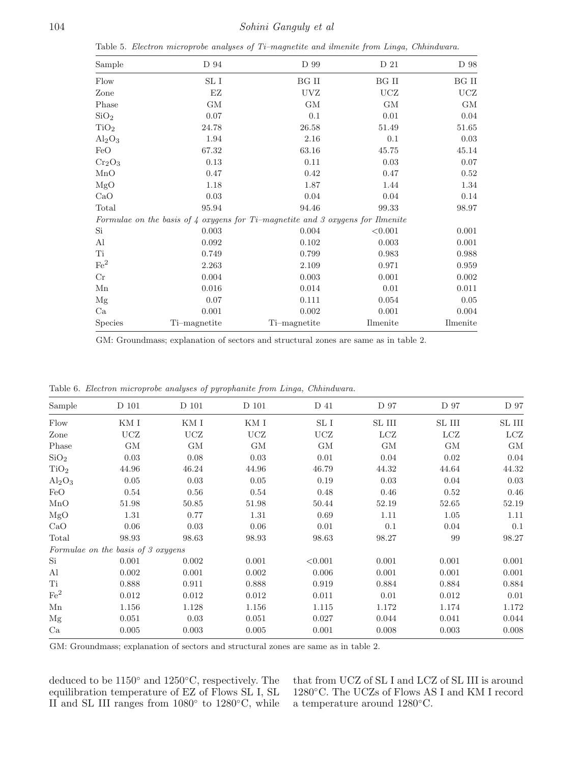Table 5. Electron microprobe analyses of Ti–magnetite and ilmenite from Linga, Chhindwara.

| Sample                         | D 94                                                                                       | D 99         | D 21     | D 98         |
|--------------------------------|--------------------------------------------------------------------------------------------|--------------|----------|--------------|
| Flow                           | SL I                                                                                       | BG II        | BG II    | BG II        |
| Zone                           | ΕZ                                                                                         | UVZ          | UCZ      | $_{\rm UCZ}$ |
| Phase                          | GM                                                                                         | GM           | GM       | GM           |
| SiO <sub>2</sub>               | 0.07                                                                                       | 0.1          | 0.01     | 0.04         |
| TiO <sub>2</sub>               | 24.78                                                                                      | 26.58        | 51.49    | 51.65        |
| $\rm Al_2O_3$                  | 1.94                                                                                       | 2.16         | 0.1      | 0.03         |
| FeO                            | 67.32                                                                                      | 63.16        | 45.75    | 45.14        |
| Cr <sub>2</sub> O <sub>3</sub> | 0.13                                                                                       | 0.11         | 0.03     | 0.07         |
| MnO                            | 0.47                                                                                       | 0.42         | 0.47     | 0.52         |
| MgO                            | 1.18                                                                                       | 1.87         | 1.44     | 1.34         |
| CaO                            | 0.03                                                                                       | 0.04         | 0.04     | 0.14         |
| Total                          | 95.94                                                                                      | 94.46        | 99.33    | 98.97        |
|                                | Formulae on the basis of $\frac{1}{4}$ oxygens for Ti-magnetite and 3 oxygens for Ilmenite |              |          |              |
| Si                             | 0.003                                                                                      | 0.004        | < 0.001  | 0.001        |
| Al                             | 0.092                                                                                      | 0.102        | 0.003    | 0.001        |
| Ti                             | 0.749                                                                                      | 0.799        | 0.983    | 0.988        |
| $\mathrm{Fe}^2$                | 2.263                                                                                      | 2.109        | 0.971    | 0.959        |
| $\operatorname{Cr}$            | 0.004                                                                                      | 0.003        | 0.001    | 0.002        |
| Mn                             | 0.016                                                                                      | 0.014        | 0.01     | 0.011        |
| Mg                             | 0.07                                                                                       | 0.111        | 0.054    | 0.05         |
| $\rm Ca$                       | 0.001                                                                                      | 0.002        | 0.001    | 0.004        |
| Species                        | Ti-magnetite                                                                               | Ti-magnetite | Ilmenite | Ilmenite     |

GM: Groundmass; explanation of sectors and structural zones are same as in table 2.

Table 6. Electron microprobe analyses of pyrophanite from Linga, Chhindwara.

| Sample                         | D 101                              | D 101             | D 101      | D 41         | D 97              | D 97              | D 97       |
|--------------------------------|------------------------------------|-------------------|------------|--------------|-------------------|-------------------|------------|
| Flow                           | KM I                               | KM I              | KM I       | SLI          | $SL$ $\rm III$    | SL III            | SL III     |
| Zone                           | <b>UCZ</b>                         | $_{\mathrm{UCZ}}$ | <b>UCZ</b> | $_{\rm UCZ}$ | $_{\mathrm{LCZ}}$ | $_{\mathrm{LCZ}}$ | <b>LCZ</b> |
| Phase                          | GM                                 | <b>GM</b>         | GM         | GM           | GМ                | GM                | <b>GM</b>  |
| SiO <sub>2</sub>               | 0.03                               | 0.08              | 0.03       | 0.01         | 0.04              | 0.02              | 0.04       |
| TiO <sub>2</sub>               | 44.96                              | 46.24             | 44.96      | 46.79        | 44.32             | 44.64             | 44.32      |
| Al <sub>2</sub> O <sub>3</sub> | 0.05                               | 0.03              | 0.05       | 0.19         | 0.03              | 0.04              | 0.03       |
| FeO                            | 0.54                               | 0.56              | 0.54       | 0.48         | 0.46              | 0.52              | 0.46       |
| MnO                            | 51.98                              | 50.85             | 51.98      | 50.44        | 52.19             | 52.65             | 52.19      |
| MgO                            | 1.31                               | 0.77              | 1.31       | 0.69         | 1.11              | 1.05              | 1.11       |
| CaO                            | 0.06                               | 0.03              | 0.06       | 0.01         | 0.1               | 0.04              | 0.1        |
| Total                          | 98.93                              | 98.63             | 98.93      | 98.63        | 98.27             | 99                | 98.27      |
|                                | Formulae on the basis of 3 oxygens |                   |            |              |                   |                   |            |
| Si                             | 0.001                              | 0.002             | 0.001      | < 0.001      | 0.001             | 0.001             | 0.001      |
| Al                             | 0.002                              | 0.001             | 0.002      | 0.006        | 0.001             | 0.001             | 0.001      |
| Ti                             | 0.888                              | 0.911             | 0.888      | 0.919        | 0.884             | 0.884             | 0.884      |
| $\mathrm{Fe}^2$                | 0.012                              | 0.012             | 0.012      | 0.011        | 0.01              | 0.012             | 0.01       |
| Mn                             | 1.156                              | 1.128             | 1.156      | 1.115        | 1.172             | 1.174             | 1.172      |
| Mg                             | 0.051                              | 0.03              | 0.051      | 0.027        | 0.044             | 0.041             | 0.044      |
| Ca                             | 0.005                              | 0.003             | 0.005      | 0.001        | 0.008             | 0.003             | 0.008      |

GM: Groundmass; explanation of sectors and structural zones are same as in table 2.

deduced to be 1150◦ and 1250◦C, respectively. The equilibration temperature of EZ of Flows SL I, SL II and SL III ranges from 1080◦ to 1280◦C, while that from UCZ of SL I and LCZ of SL III is around 1280◦C. The UCZs of Flows AS I and KM I record a temperature around 1280◦C.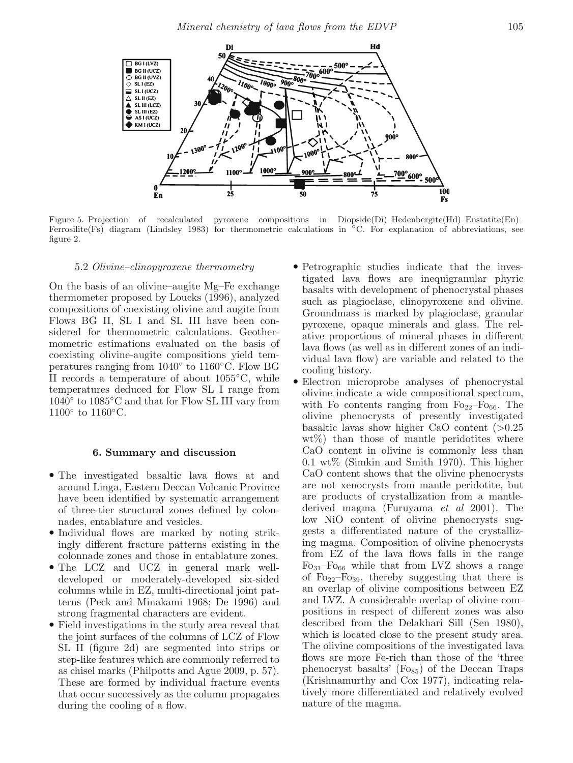

Figure 5. Projection of recalculated pyroxene compositions in Diopside(Di)–Hedenbergite(Hd)–Enstatite(En)– Ferrosilite(Fs) diagram (Lindsley 1983) for thermometric calculations in ◦C. For explanation of abbreviations, see figure 2.

#### 5.2 Olivine–clinopyroxene thermometry

On the basis of an olivine–augite Mg–Fe exchange thermometer proposed by Loucks (1996), analyzed compositions of coexisting olivine and augite from Flows BG II, SL I and SL III have been considered for thermometric calculations. Geothermometric estimations evaluated on the basis of coexisting olivine-augite compositions yield temperatures ranging from 1040◦ to 1160◦C. Flow BG II records a temperature of about 1055◦C, while temperatures deduced for Flow SL I range from 1040◦ to 1085◦C and that for Flow SL III vary from 1100◦ to 1160◦C.

### **6. Summary and discussion**

- The investigated basaltic lava flows at and around Linga, Eastern Deccan Volcanic Province have been identified by systematic arrangement of three-tier structural zones defined by colonnades, entablature and vesicles.
- Individual flows are marked by noting strikingly different fracture patterns existing in the colonnade zones and those in entablature zones.
- The LCZ and UCZ in general mark welldeveloped or moderately-developed six-sided columns while in EZ, multi-directional joint patterns (Peck and Minakami 1968; De 1996) and strong fragmental characters are evident.
- Field investigations in the study area reveal that the joint surfaces of the columns of LCZ of Flow SL II (figure 2d) are segmented into strips or step-like features which are commonly referred to as chisel marks (Philpotts and Ague 2009, p. 57). These are formed by individual fracture events that occur successively as the column propagates during the cooling of a flow.
- Petrographic studies indicate that the investigated lava flows are inequigranular phyric basalts with development of phenocrystal phases such as plagioclase, clinopyroxene and olivine. Groundmass is marked by plagioclase, granular pyroxene, opaque minerals and glass. The relative proportions of mineral phases in different lava flows (as well as in different zones of an individual lava flow) are variable and related to the cooling history.
- Electron microprobe analyses of phenocrystal olivine indicate a wide compositional spectrum, with Fo contents ranging from  $\text{Fo}_{22}-\text{Fo}_{66}$ . The olivine phenocrysts of presently investigated basaltic lavas show higher CaO content  $(>0.25$  $wt\%$ ) than those of mantle peridotites where CaO content in olivine is commonly less than  $0.1 \text{ wt\%}$  (Simkin and Smith 1970). This higher CaO content shows that the olivine phenocrysts are not xenocrysts from mantle peridotite, but are products of crystallization from a mantlederived magma (Furuyama et al 2001). The low NiO content of olivine phenocrysts suggests a differentiated nature of the crystallizing magma. Composition of olivine phenocrysts from EZ of the lava flows falls in the range  $F_{\text{O}_{31}}$ – $F_{\text{O}_{66}}$  while that from LVZ shows a range of  $\mathrm{Fo}_{22}$ – $\mathrm{Fo}_{39}$ , thereby suggesting that there is an overlap of olivine compositions between EZ and LVZ. A considerable overlap of olivine compositions in respect of different zones was also described from the Delakhari Sill (Sen 1980), which is located close to the present study area. The olivine compositions of the investigated lava flows are more Fe-rich than those of the 'three phenocryst basalts'  $(F_{085})$  of the Deccan Traps (Krishnamurthy and Cox 1977), indicating relatively more differentiated and relatively evolved nature of the magma.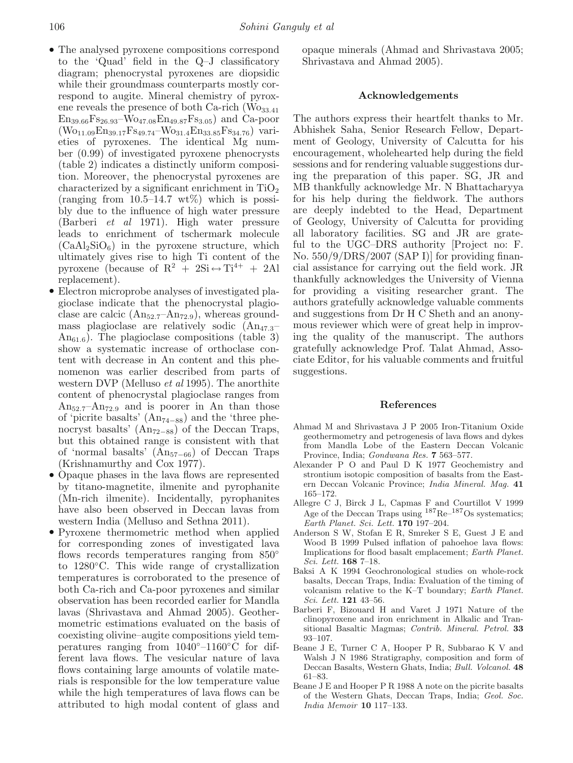- The analysed pyroxene compositions correspond to the 'Quad' field in the Q–J classificatory diagram; phenocrystal pyroxenes are diopsidic while their groundmass counterparts mostly correspond to augite. Mineral chemistry of pyroxene reveals the presence of both Ca-rich  $(Wo_{33.41})$  $\text{En}_{39.66}\text{Fs}_{26.93} - \text{Wo}_{47.08}\text{En}_{49.87}\text{Fs}_{3.05}$  and Ca-poor  $(Wo_{11.09}En_{39.17}Fs_{49.74}-Wo_{31.4}En_{33.85}Fs_{34.76})$  varieties of pyroxenes. The identical Mg number (0.99) of investigated pyroxene phenocrysts (table 2) indicates a distinctly uniform composition. Moreover, the phenocrystal pyroxenes are characterized by a significant enrichment in  $TiO<sub>2</sub>$ (ranging from  $10.5-14.7 \text{ wt\%}$ ) which is possibly due to the influence of high water pressure (Barberi et al 1971). High water pressure leads to enrichment of tschermark molecule  $(CaAl<sub>2</sub>SiO<sub>6</sub>)$  in the pyroxene structure, which ultimately gives rise to high Ti content of the pyroxene (because of  $R^2 + 2Si \leftrightarrow Ti^{4+} + 2Al$ replacement).
- Electron microprobe analyses of investigated plagioclase indicate that the phenocrystal plagioclase are calcic  $(An_{52.7}-An_{72.9})$ , whereas groundmass plagioclase are relatively sodic  $(An_{47.3} An_{61.6}$ ). The plagioclase compositions (table 3) show a systematic increase of orthoclase content with decrease in An content and this phenomenon was earlier described from parts of western DVP (Melluso *et al* 1995). The anorthite content of phenocrystal plagioclase ranges from  $An_{52.7}-An_{72.9}$  and is poorer in An than those of 'picrite basalts'  $(\text{An}_{74-88})$  and the 'three phenocryst basalts' (An<sub>72−88</sub>) of the Deccan Traps, but this obtained range is consistent with that of 'normal basalts' (An<sup>57</sup>−<sup>66</sup>) of Deccan Traps (Krishnamurthy and Cox 1977).
- Opaque phases in the lava flows are represented by titano-magnetite, ilmenite and pyrophanite (Mn-rich ilmenite). Incidentally, pyrophanites have also been observed in Deccan lavas from western India (Melluso and Sethna 2011).
- Pyroxene thermometric method when applied for corresponding zones of investigated lava flows records temperatures ranging from  $850^\circ$ to 1280◦C. This wide range of crystallization temperatures is corroborated to the presence of both Ca-rich and Ca-poor pyroxenes and similar observation has been recorded earlier for Mandla lavas (Shrivastava and Ahmad 2005). Geothermometric estimations evaluated on the basis of coexisting olivine–augite compositions yield temperatures ranging from 1040◦–1160◦C for different lava flows. The vesicular nature of lava flows containing large amounts of volatile materials is responsible for the low temperature value while the high temperatures of lava flows can be attributed to high modal content of glass and

opaque minerals (Ahmad and Shrivastava 2005; Shrivastava and Ahmad 2005).

### **Acknowledgements**

The authors express their heartfelt thanks to Mr. Abhishek Saha, Senior Research Fellow, Department of Geology, University of Calcutta for his encouragement, wholehearted help during the field sessions and for rendering valuable suggestions during the preparation of this paper. SG, JR and MB thankfully acknowledge Mr. N Bhattacharyya for his help during the fieldwork. The authors are deeply indebted to the Head, Department of Geology, University of Calcutta for providing all laboratory facilities. SG and JR are grateful to the UGC–DRS authority [Project no: F. No. 550/9/DRS/2007 (SAP I)] for providing financial assistance for carrying out the field work. JR thankfully acknowledges the University of Vienna for providing a visiting researcher grant. The authors gratefully acknowledge valuable comments and suggestions from Dr H C Sheth and an anonymous reviewer which were of great help in improving the quality of the manuscript. The authors gratefully acknowledge Prof. Talat Ahmad, Associate Editor, for his valuable comments and fruitful suggestions.

### **References**

- Ahmad M and Shrivastava J P 2005 Iron-Titanium Oxide geothermometry and petrogenesis of lava flows and dykes from Mandla Lobe of the Eastern Deccan Volcanic Province, India; Gondwana Res. **7** 563–577.
- Alexander P O and Paul D K 1977 Geochemistry and strontium isotopic composition of basalts from the Eastern Deccan Volcanic Province; India Mineral. Mag. **41** 165–172.
- Allegre C J, Birck J L, Capmas F and Courtillot V 1999 Age of the Deccan Traps using  $187$ <sub>Re</sub> $-187$ <sub>Os</sub> systematics; Earth Planet. Sci. Lett. **170** 197–204.
- Anderson S W, Stofan E R, Smreker S E, Guest J E and Wood B 1999 Pulsed inflation of pahoehoe lava flows: Implications for flood basalt emplacement; Earth Planet. Sci. Lett. **168** 7–18.
- Baksi A K 1994 Geochronological studies on whole-rock basalts, Deccan Traps, India: Evaluation of the timing of volcanism relative to the K–T boundary; Earth Planet. Sci. Lett. **121** 43–56.
- Barberi F, Bizouard H and Varet J 1971 Nature of the clinopyroxene and iron enrichment in Alkalic and Transitional Basaltic Magmas; Contrib. Mineral. Petrol. **33** 93–107.
- Beane J E, Turner C A, Hooper P R, Subbarao K V and Walsh J N 1986 Stratigraphy, composition and form of Deccan Basalts, Western Ghats, India; Bull. Volcanol. **48** 61–83.
- Beane J E and Hooper P R 1988 A note on the picrite basalts of the Western Ghats, Deccan Traps, India; Geol. Soc. India Memoir **10** 117–133.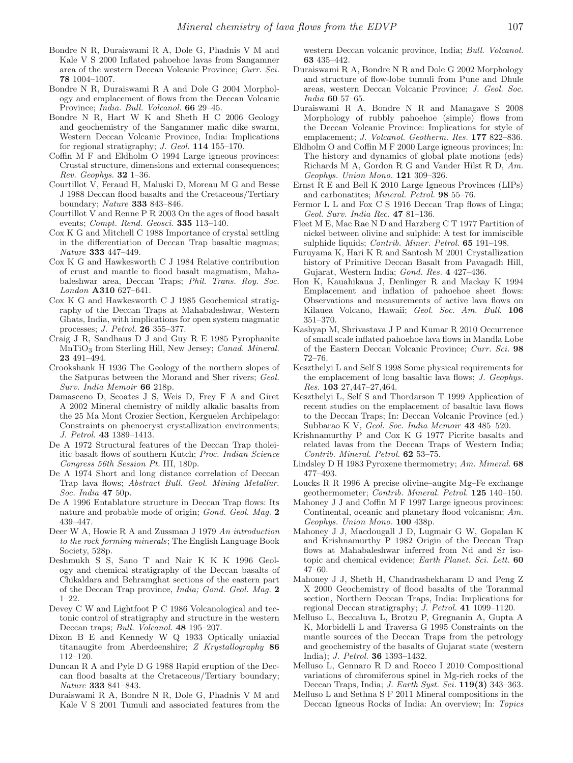- Bondre N R, Duraiswami R A, Dole G, Phadnis V M and Kale V S 2000 Inflated pahoehoe lavas from Sangamner area of the western Deccan Volcanic Province; Curr. Sci. **78** 1004–1007.
- Bondre N R, Duraiswami R A and Dole G 2004 Morphology and emplacement of flows from the Deccan Volcanic Province; India. Bull. Volcanol. **66** 29–45.
- Bondre N R, Hart W K and Sheth H C 2006 Geology and geochemistry of the Sangamner mafic dike swarm, Western Deccan Volcanic Province, India: Implications for regional stratigraphy; J. Geol. **114** 155–170.
- Coffin M F and Eldholm O 1994 Large igneous provinces: Crustal structure, dimensions and external consequences; Rev. Geophys. **32** 1–36.
- Courtillot V, Feraud H, Maluski D, Moreau M G and Besse J 1988 Deccan flood basalts and the Cretaceous/Tertiary boundary; Nature **333** 843–846.
- Courtillot V and Renne P R 2003 On the ages of flood basalt events; Compt. Rend. Geosci. **335** 113–140.
- Cox K G and Mitchell C 1988 Importance of crystal settling in the differentiation of Deccan Trap basaltic magmas; Nature **333** 447–449.
- Cox K G and Hawkesworth C J 1984 Relative contribution of crust and mantle to flood basalt magmatism, Mahabaleshwar area, Deccan Traps; Phil. Trans. Roy. Soc. London **A310** 627–641.
- Cox K G and Hawkesworth C J 1985 Geochemical stratigraphy of the Deccan Traps at Mahabaleshwar, Western Ghats, India, with implications for open system magmatic processes; J. Petrol. **26** 355–377.
- Craig J R, Sandhaus D J and Guy R E 1985 Pyrophanite MnTiO<sub>3</sub> from Sterling Hill, New Jersey; Canad. Mineral. **23** 491–494.
- Crookshank H 1936 The Geology of the northern slopes of the Satpuras between the Morand and Sher rivers; Geol. Surv. India Memoir **66** 218p.
- Damasceno D, Scoates J S, Weis D, Frey F A and Giret A 2002 Mineral chemistry of mildly alkalic basalts from the 25 Ma Mont Crozier Section, Kerguelen Archipelago: Constraints on phenocryst crystallization environments; J. Petrol. **43** 1389–1413.
- De A 1972 Structural features of the Deccan Trap tholeiitic basalt flows of southern Kutch; Proc. Indian Science Congress 56th Session Pt. III, 180p.
- De A 1974 Short and long distance correlation of Deccan Trap lava flows; Abstract Bull. Geol. Mining Metallur. Soc. India **47** 50p.
- De A 1996 Entablature structure in Deccan Trap flows: Its nature and probable mode of origin; Gond. Geol. Mag. **2** 439–447.
- Deer W A, Howie R A and Zussman J 1979 An introduction to the rock forming minerals; The English Language Book Society, 528p.
- Deshmukh S S, Sano T and Nair K K K 1996 Geology and chemical stratigraphy of the Deccan basalts of Chikaldara and Behramghat sections of the eastern part of the Deccan Trap province, India; Gond. Geol. Mag. **2** 1–22.
- Devey C W and Lightfoot P C 1986 Volcanological and tectonic control of stratigraphy and structure in the western Deccan traps; Bull. Volcanol. **48** 195–207.
- Dixon B E and Kennedy W Q 1933 Optically uniaxial titanaugite from Aberdeenshire; Z Krystallography **86** 112–120.
- Duncan R A and Pyle D G 1988 Rapid eruption of the Deccan flood basalts at the Cretaceous/Tertiary boundary; Nature **333** 841–843.
- Duraiswami R A, Bondre N R, Dole G, Phadnis V M and Kale V S 2001 Tumuli and associated features from the

western Deccan volcanic province, India; Bull. Volcanol. **63** 435–442.

- Duraiswami R A, Bondre N R and Dole G 2002 Morphology and structure of flow-lobe tumuli from Pune and Dhule areas, western Deccan Volcanic Province; J. Geol. Soc. India **60** 57–65.
- Duraiswami R A, Bondre N R and Managave S 2008 Morphology of rubbly pahoehoe (simple) flows from the Deccan Volcanic Province: Implications for style of emplacement; J. Volcanol. Geotherm. Res. **177** 822–836.
- Eldholm O and Coffin M F 2000 Large igneous provinces; In: The history and dynamics of global plate motions (eds) Richards M A, Gordon R G and Vander Hilst R D, Am. Geophys. Union Mono. **121** 309–326.
- Ernst R E and Bell K 2010 Large Igneous Provinces (LIPs) and carbonatites; Mineral. Petrol. **98** 55–76.
- Fermor L L and Fox C S 1916 Deccan Trap flows of Linga; Geol. Surv. India Rec. **47** 81–136.
- Fleet M E, Mac Rae N D and Harzberg C T 1977 Partition of nickel between olivine and sulphide: A test for immiscible sulphide liquids; Contrib. Miner. Petrol. **65** 191–198.
- Furuyama K, Hari K R and Santosh M 2001 Crystallization history of Primitive Deccan Basalt from Pavagadh Hill, Gujarat, Western India; Gond. Res. **4** 427–436.
- Hon K, Kauahikaua J, Denlinger R and Mackay K 1994 Emplacement and inflation of pahoehoe sheet flows: Observations and measurements of active lava flows on Kilauea Volcano, Hawaii; Geol. Soc. Am. Bull. **106** 351–370.
- Kashyap M, Shrivastava J P and Kumar R 2010 Occurrence of small scale inflated pahoehoe lava flows in Mandla Lobe of the Eastern Deccan Volcanic Province; Curr. Sci. **98** 72–76.
- Keszthelyi L and Self S 1998 Some physical requirements for the emplacement of long basaltic lava flows; J. Geophys. Res. **103** 27,447–27,464.
- Keszthelyi L, Self S and Thordarson T 1999 Application of recent studies on the emplacement of basaltic lava flows to the Deccan Traps; In: Deccan Volcanic Province (ed.) Subbarao K V, Geol. Soc. India Memoir **43** 485–520.
- Krishnamurthy P and Cox K G 1977 Picrite basalts and related lavas from the Deccan Traps of Western India; Contrib. Mineral. Petrol. **62** 53–75.
- Lindsley D H 1983 Pyroxene thermometry; Am. Mineral. **68** 477–493.
- Loucks R R 1996 A precise olivine–augite Mg–Fe exchange geothermometer; Contrib. Mineral. Petrol. **125** 140–150.
- Mahoney J J and Coffin M F 1997 Large igneous provinces: Continental, oceanic and planetary flood volcanism; Am. Geophys. Union Mono. **100** 438p.
- Mahoney J J, Macdougall J D, Lugmair G W, Gopalan K and Krishnamurthy P 1982 Origin of the Deccan Trap flows at Mahabaleshwar inferred from Nd and Sr isotopic and chemical evidence; Earth Planet. Sci. Lett. **60** 47–60.
- Mahoney J J, Sheth H, Chandrashekharam D and Peng Z X 2000 Geochemistry of flood basalts of the Toranmal section, Northern Deccan Traps, India: Implications for regional Deccan stratigraphy; J. Petrol. **41** 1099–1120.
- Melluso L, Beccaluva L, Brotzu P, Gregnanin A, Gupta A K, Morbidelli L and Traversa G 1995 Constraints on the mantle sources of the Deccan Traps from the petrology and geochemistry of the basalts of Gujarat state (western India); J. Petrol. **36** 1393–1432.
- Melluso L, Gennaro R D and Rocco I 2010 Compositional variations of chromiferous spinel in Mg-rich rocks of the Deccan Traps, India; J. Earth Syst. Sci. **119(3)** 343–363.
- Melluso L and Sethna S F 2011 Mineral compositions in the Deccan Igneous Rocks of India: An overview; In: Topics